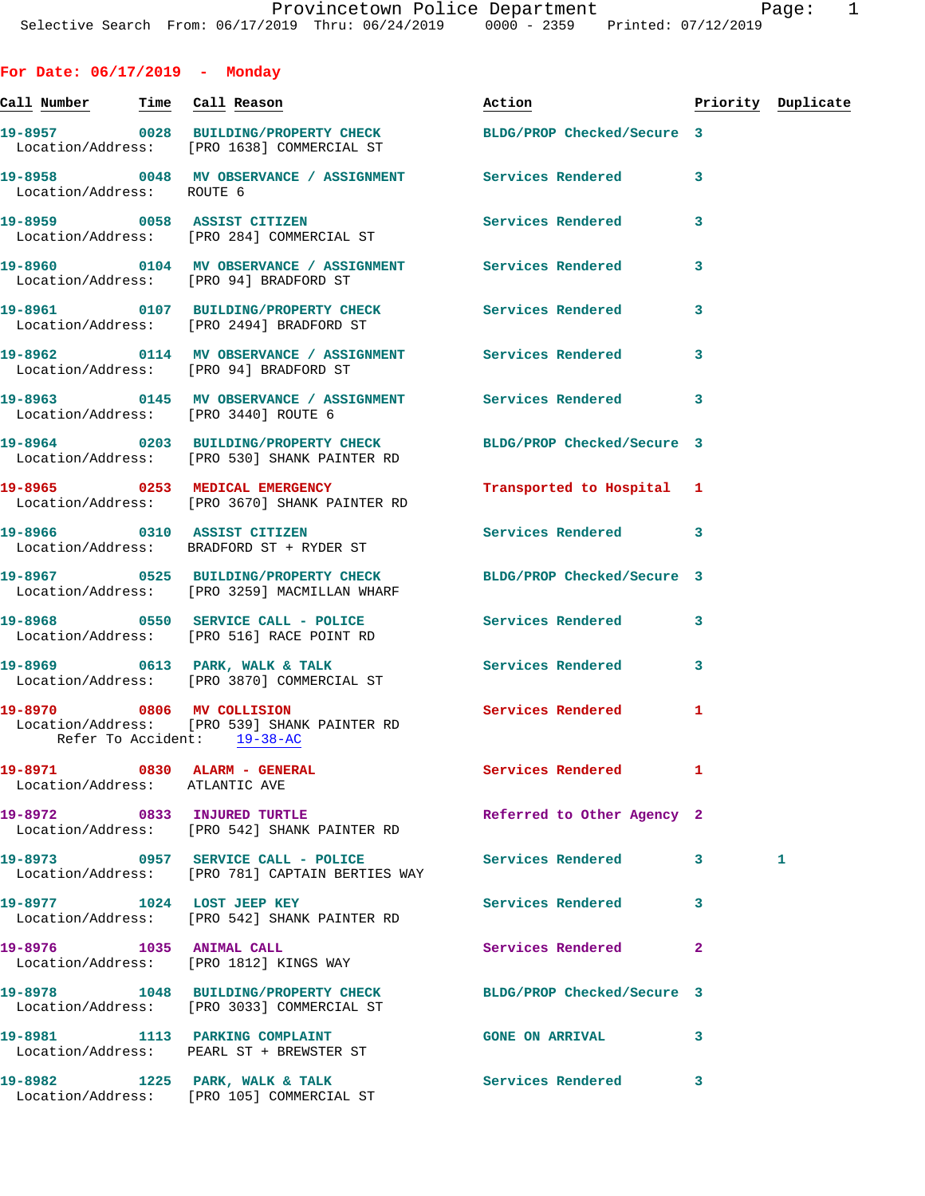| For Date: $06/17/2019$ - Monday                                |                                                                                                               |                            |              |                    |
|----------------------------------------------------------------|---------------------------------------------------------------------------------------------------------------|----------------------------|--------------|--------------------|
| <u>Call Number — Time Call Reason</u>                          |                                                                                                               | Action                     |              | Priority Duplicate |
|                                                                | 19-8957 0028 BUILDING/PROPERTY CHECK BLDG/PROP Checked/Secure 3<br>Location/Address: [PRO 1638] COMMERCIAL ST |                            |              |                    |
| Location/Address: ROUTE 6                                      | 19-8958 0048 MV OBSERVANCE / ASSIGNMENT Services Rendered                                                     |                            | 3            |                    |
|                                                                | 19-8959 0058 ASSIST CITIZEN<br>Location/Address: [PRO 284] COMMERCIAL ST                                      | Services Rendered          | 3            |                    |
| Location/Address: [PRO 94] BRADFORD ST                         |                                                                                                               |                            | 3            |                    |
|                                                                | 19-8961 0107 BUILDING/PROPERTY CHECK Services Rendered<br>Location/Address: [PRO 2494] BRADFORD ST            |                            | 3            |                    |
| Location/Address: [PRO 94] BRADFORD ST                         |                                                                                                               |                            | 3            |                    |
| Location/Address: [PRO 3440] ROUTE 6                           | 19-8963   0145 MV OBSERVANCE / ASSIGNMENT   Services Rendered                                                 |                            | 3            |                    |
|                                                                | 19-8964 0203 BUILDING/PROPERTY CHECK<br>Location/Address: [PRO 530] SHANK PAINTER RD                          | BLDG/PROP Checked/Secure 3 |              |                    |
|                                                                | 19-8965 0253 MEDICAL EMERGENCY<br>Location/Address: [PRO 3670] SHANK PAINTER RD                               | Transported to Hospital 1  |              |                    |
|                                                                | 19-8966 0310 ASSIST CITIZEN<br>Location/Address: BRADFORD ST + RYDER ST                                       | Services Rendered 3        |              |                    |
|                                                                | 19-8967 0525 BUILDING/PROPERTY CHECK<br>Location/Address: [PRO 3259] MACMILLAN WHARF                          | BLDG/PROP Checked/Secure 3 |              |                    |
|                                                                | 19-8968 0550 SERVICE CALL - POLICE 3 Services Rendered<br>Location/Address: [PRO 516] RACE POINT RD           |                            | 3            |                    |
|                                                                | 19-8969 0613 PARK, WALK & TALK<br>Location/Address: [PRO 3870] COMMERCIAL ST                                  | <b>Services Rendered</b>   | 3            |                    |
| 19-8970 0806 MV COLLISION<br>Refer To Accident: 19-38-AC       | Location/Address: [PRO 539] SHANK PAINTER RD                                                                  | <b>Services Rendered</b>   | 1            |                    |
| 19-8971 0830 ALARM - GENERAL<br>Location/Address: ATLANTIC AVE |                                                                                                               | Services Rendered          | 1            |                    |
|                                                                | 19-8972 0833 INJURED TURTLE<br>Location/Address: [PRO 542] SHANK PAINTER RD                                   | Referred to Other Agency 2 |              |                    |
|                                                                | 19-8973 0957 SERVICE CALL - POLICE<br>Location/Address: [PRO 781] CAPTAIN BERTIES WAY                         | Services Rendered 3        |              | 1                  |
|                                                                | 19-8977 1024 LOST JEEP KEY<br>Location/Address: [PRO 542] SHANK PAINTER RD                                    | Services Rendered          | 3            |                    |
|                                                                | 19-8976 1035 ANIMAL CALL<br>Location/Address: [PRO 1812] KINGS WAY                                            | <b>Services Rendered</b>   | $\mathbf{2}$ |                    |
|                                                                | 19-8978 1048 BUILDING/PROPERTY CHECK BLDG/PROP Checked/Secure 3<br>Location/Address: [PRO 3033] COMMERCIAL ST |                            |              |                    |
|                                                                | 19-8981 1113 PARKING COMPLAINT<br>Location/Address: PEARL ST + BREWSTER ST                                    | <b>GONE ON ARRIVAL</b>     | 3            |                    |
|                                                                | 19-8982 1225 PARK, WALK & TALK<br>Location/Address: [PRO 105] COMMERCIAL ST                                   | Services Rendered 3        |              |                    |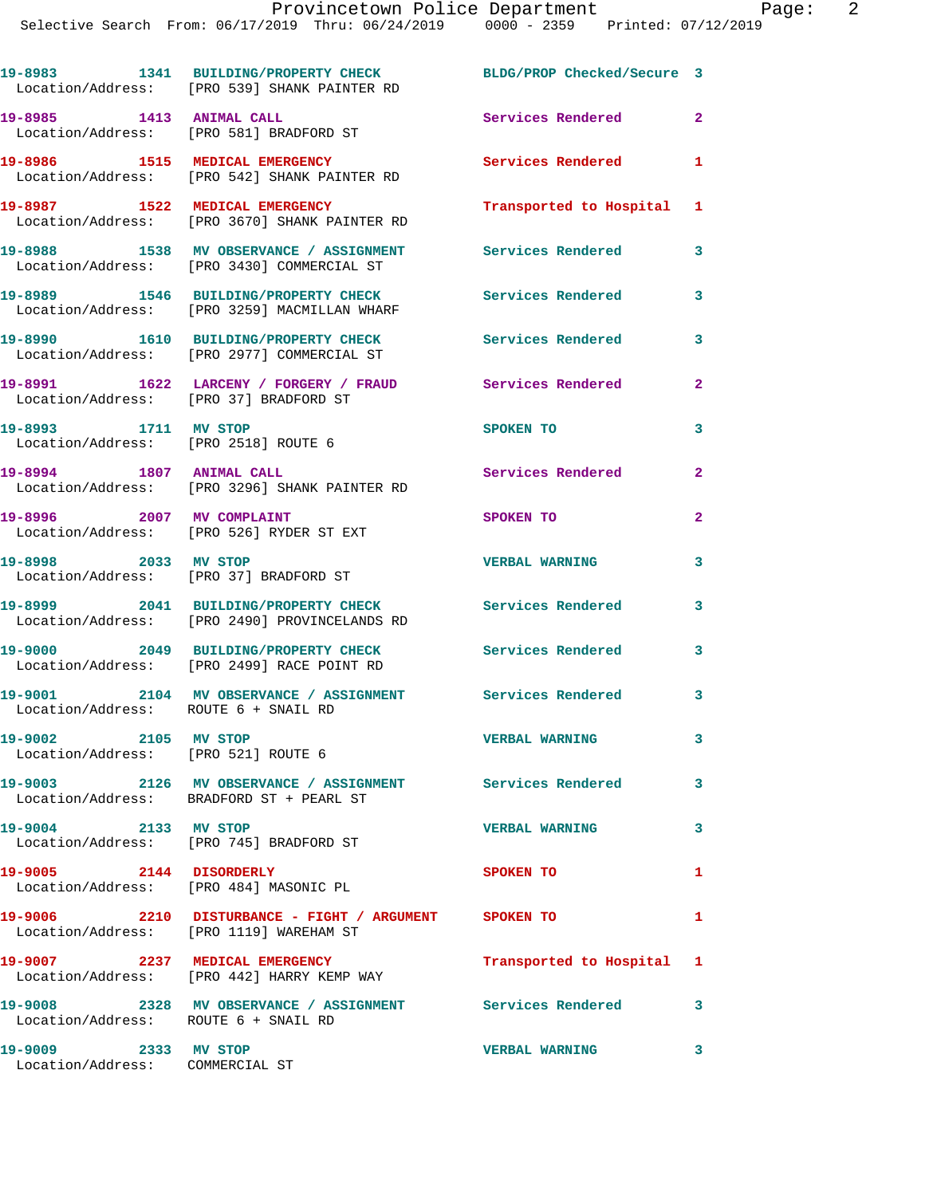**19-8983 1341 BUILDING/PROPERTY CHECK BLDG/PROP Checked/Secure 3**  Location/Address: [PRO 539] SHANK PAINTER RD **19-8985 1413 ANIMAL CALL Services Rendered 2**  Location/Address: [PRO 581] BRADFORD ST **19-8986 1515 MEDICAL EMERGENCY Services Rendered 1**  Location/Address: [PRO 542] SHANK PAINTER RD **19-8987 1522 MEDICAL EMERGENCY Transported to Hospital 1**  Location/Address: [PRO 3670] SHANK PAINTER RD **19-8988 1538 MV OBSERVANCE / ASSIGNMENT Services Rendered 3**  Location/Address: [PRO 3430] COMMERCIAL ST **19-8989 1546 BUILDING/PROPERTY CHECK Services Rendered 3**  Location/Address: [PRO 3259] MACMILLAN WHARF **19-8990 1610 BUILDING/PROPERTY CHECK Services Rendered 3**  Location/Address: [PRO 2977] COMMERCIAL ST **19-8991 1622 LARCENY / FORGERY / FRAUD Services Rendered 2**  Location/Address: [PRO 37] BRADFORD ST **19-8993 1711 MV STOP SPOKEN TO 3**  Location/Address: [PRO 2518] ROUTE 6 **19-8994 1807 ANIMAL CALL Services Rendered 2**  Location/Address: [PRO 3296] SHANK PAINTER RD **19-8996 2007 MV COMPLAINT 2007 SPOKEN TO**  Location/Address: [PRO 526] RYDER ST EXT **19-8998 2033 MV STOP VERBAL WARNING 3**  Location/Address: [PRO 37] BRADFORD ST

**19-8999 2041 BUILDING/PROPERTY CHECK Services Rendered 3**  Location/Address: [PRO 2490] PROVINCELANDS RD

Location/Address: ROUTE 6 + SNAIL RD

**19-9002 2105 MV STOP VERBAL WARNING 3**  Location/Address: [PRO 521] ROUTE 6

**19-9003 2126 MV OBSERVANCE / ASSIGNMENT Services Rendered 3**  Location/Address: BRADFORD ST + PEARL ST

**19-9004 2133 MV STOP VERBAL WARNING 3**  Location/Address: [PRO 745] BRADFORD ST

Location/Address: [PRO 484] MASONIC PL

**19-9006 2210 DISTURBANCE - FIGHT / ARGUMENT SPOKEN TO 1** 

**19-9008 2328 MV OBSERVANCE / ASSIGNMENT Services Rendered 3** 

**19-9009 2333 MV STOP VERBAL WARNING 3**  Location/Address: COMMERCIAL ST

**19-9000 2049 BUILDING/PROPERTY CHECK Services Rendered 3**  Location/Address: [PRO 2499] RACE POINT RD

**19-9001 2104 MV OBSERVANCE / ASSIGNMENT Services Rendered 3** 

**19-9005 2144 DISORDERLY SPOKEN TO 1** 

Location/Address: [PRO 1119] WAREHAM ST

**19-9007 2237 MEDICAL EMERGENCY Transported to Hospital 1**  Location/Address: [PRO 442] HARRY KEMP WAY

Location/Address: ROUTE 6 + SNAIL RD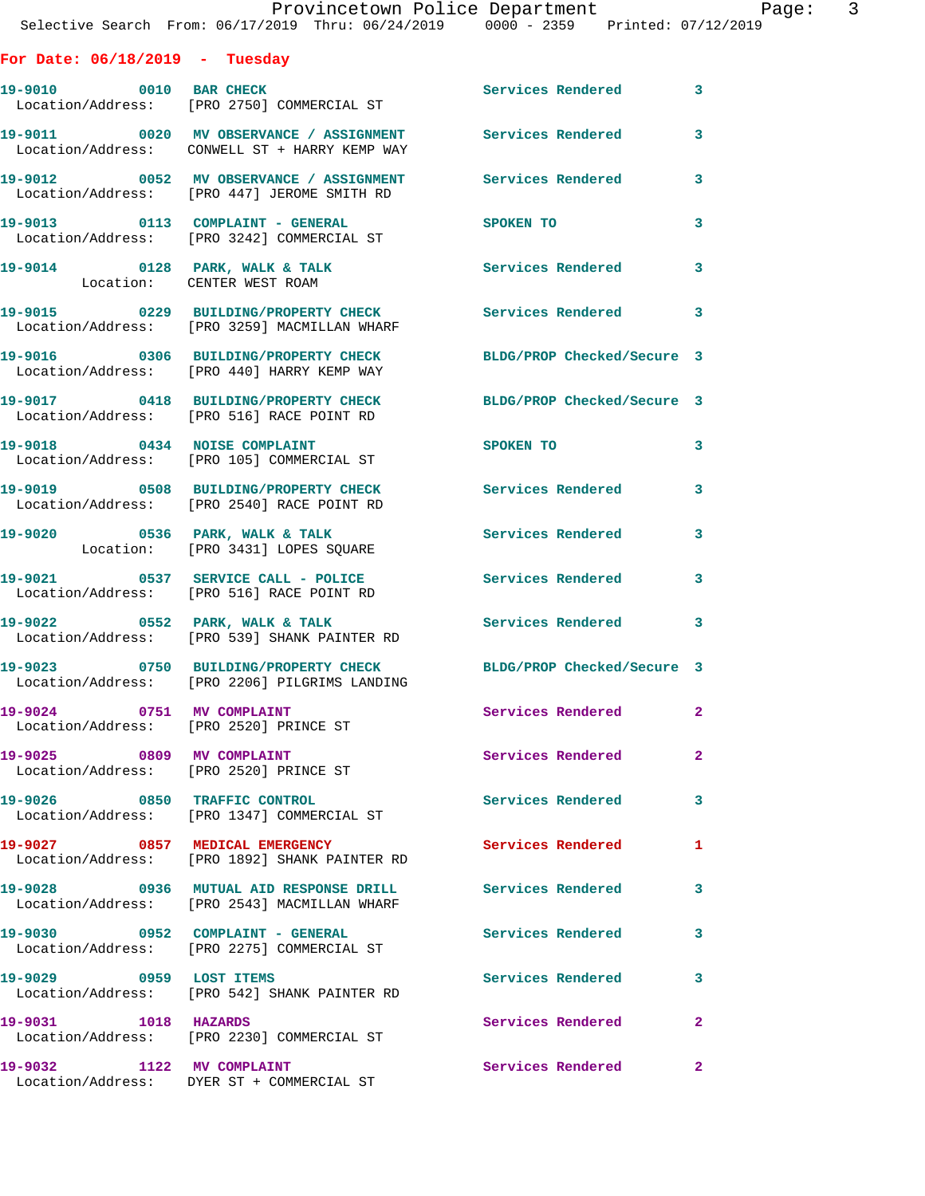## **For Date: 06/18/2019 - Tuesday**

| 19-9010 0010 BAR CHECK                 | Location/Address: [PRO 2750] COMMERCIAL ST                                               | Services Rendered 3        |                         |
|----------------------------------------|------------------------------------------------------------------------------------------|----------------------------|-------------------------|
|                                        | 19-9011 0020 MV OBSERVANCE / ASSIGNMENT<br>Location/Address: CONWELL ST + HARRY KEMP WAY | Services Rendered          | 3                       |
|                                        | 19-9012 0052 MV OBSERVANCE / ASSIGNMENT<br>Location/Address: [PRO 447] JEROME SMITH RD   | <b>Services Rendered</b>   | 3                       |
|                                        | 19-9013 0113 COMPLAINT - GENERAL<br>Location/Address: [PRO 3242] COMMERCIAL ST           | <b>SPOKEN TO</b>           | 3                       |
| Location: CENTER WEST ROAM             | 19-9014 0128 PARK, WALK & TALK                                                           | Services Rendered          | $\overline{\mathbf{3}}$ |
|                                        | 19-9015 0229 BUILDING/PROPERTY CHECK<br>Location/Address: [PRO 3259] MACMILLAN WHARF     | Services Rendered 3        |                         |
|                                        | 19-9016 0306 BUILDING/PROPERTY CHECK<br>Location/Address: [PRO 440] HARRY KEMP WAY       | BLDG/PROP Checked/Secure 3 |                         |
|                                        | 19-9017 0418 BUILDING/PROPERTY CHECK<br>Location/Address: [PRO 516] RACE POINT RD        | BLDG/PROP Checked/Secure 3 |                         |
|                                        | 19-9018 0434 NOISE COMPLAINT<br>Location/Address: [PRO 105] COMMERCIAL ST                | SPOKEN TO                  | 3                       |
|                                        | 19-9019 0508 BUILDING/PROPERTY CHECK<br>Location/Address: [PRO 2540] RACE POINT RD       | Services Rendered 3        |                         |
|                                        | 19-9020 0536 PARK, WALK & TALK<br>Location: [PRO 3431] LOPES SQUARE                      | <b>Services Rendered</b>   | 3                       |
|                                        | 19-9021 0537 SERVICE CALL - POLICE<br>Location/Address: [PRO 516] RACE POINT RD          | Services Rendered 3        |                         |
|                                        | 19-9022 0552 PARK, WALK & TALK<br>Location/Address: [PRO 539] SHANK PAINTER RD           | Services Rendered 3        |                         |
|                                        | 19-9023 0750 BUILDING/PROPERTY CHECK<br>Location/Address: [PRO 2206] PILGRIMS LANDING    | BLDG/PROP Checked/Secure 3 |                         |
| Location/Address: [PRO 2520] PRINCE ST | 19-9024 0751 MV COMPLAINT                                                                | Services Rendered 2        |                         |
|                                        | 19-9025 0809 MV COMPLAINT<br>Location/Address: [PRO 2520] PRINCE ST                      | Services Rendered 2        |                         |
|                                        | 19-9026 0850 TRAFFIC CONTROL<br>Location/Address: [PRO 1347] COMMERCIAL ST               | Services Rendered          | $\mathbf{3}$            |
| 19-9027 0857 MEDICAL EMERGENCY         | Location/Address: [PRO 1892] SHANK PAINTER RD                                            | Services Rendered          | 1                       |
|                                        | 19-9028 0936 MUTUAL AID RESPONSE DRILL<br>Location/Address: [PRO 2543] MACMILLAN WHARF   | Services Rendered          | 3                       |
| 19-9030 0952 COMPLAINT - GENERAL       | Location/Address: [PRO 2275] COMMERCIAL ST                                               | Services Rendered          | $\mathbf{3}$            |
| 19-9029 0959 LOST ITEMS                | Location/Address: [PRO 542] SHANK PAINTER RD                                             | <b>Services Rendered</b>   | 3                       |
| 19-9031 1018 HAZARDS                   | Location/Address: [PRO 2230] COMMERCIAL ST                                               | Services Rendered          | $\mathbf{2}$            |
| 19-9032 1122 MV COMPLAINT              | Location/Address: DYER ST + COMMERCIAL ST                                                | Services Rendered          | $\mathbf{2}$            |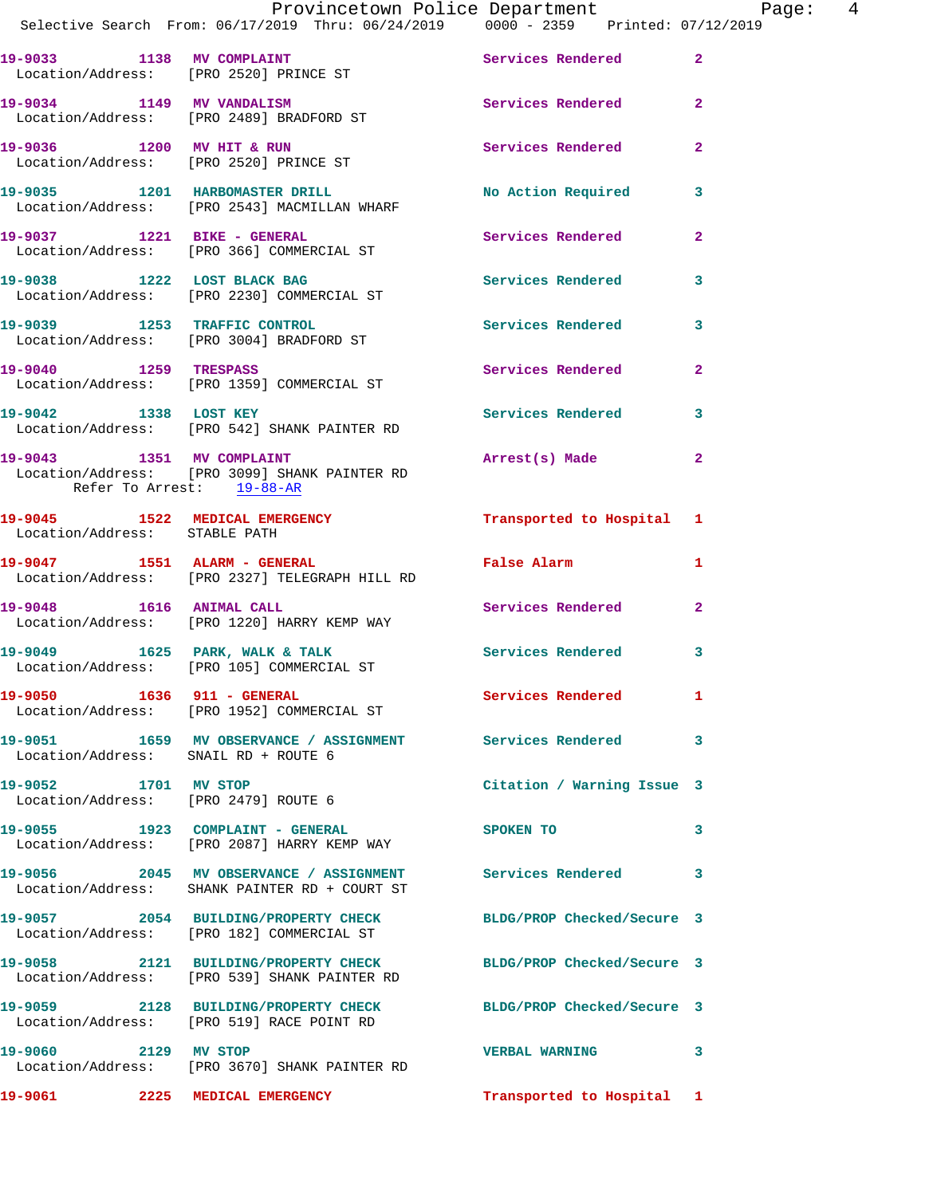|                                      | Provincetown Police Department Page: 4                                                                          |                                      |                |
|--------------------------------------|-----------------------------------------------------------------------------------------------------------------|--------------------------------------|----------------|
|                                      | Selective Search From: 06/17/2019 Thru: 06/24/2019   0000 - 2359   Printed: 07/12/2019                          |                                      |                |
|                                      | 19-9033 1138 MV COMPLAINT<br>Location/Address: [PRO 2520] PRINCE ST                                             | Services Rendered 2                  |                |
|                                      | 19-9034 1149 MV VANDALISM 3 Services Rendered 2<br>Location/Address: [PRO 2489] BRADFORD ST                     |                                      |                |
|                                      | 19-9036 1200 MV HIT & RUN<br>Location/Address: [PRO 2520] PRINCE ST                                             | Services Rendered 2                  |                |
|                                      | 19-9035 1201 HARBOMASTER DRILL No Action Required 3<br>Location/Address: [PRO 2543] MACMILLAN WHARF             |                                      |                |
|                                      | 19-9037 1221 BIKE - GENERAL<br>Location/Address: [PRO 366] COMMERCIAL ST                                        | Services Rendered                    | $\mathbf{2}$   |
|                                      | 19-9038 1222 LOST BLACK BAG<br>Location/Address: [PRO 2230] COMMERCIAL ST                                       | Services Rendered 3                  |                |
|                                      | 19-9039 1253 TRAFFIC CONTROL<br>Location/Address: [PRO 3004] BRADFORD ST                                        | Services Rendered 3                  |                |
|                                      | 19-9040 1259 TRESPASS<br>Location/Address: [PRO 1359] COMMERCIAL ST                                             | Services Rendered 2                  |                |
| 19-9042 1338 LOST KEY                | Location/Address: [PRO 542] SHANK PAINTER RD                                                                    | Services Rendered 3                  |                |
| Refer To Arrest: 19-88-AR            | 19-9043 1351 MV COMPLAINT<br>Location/Address: [PRO 3099] SHANK PAINTER RD                                      | Arrest(s) Made                       | $\mathbf{2}$   |
| Location/Address: STABLE PATH        | 19-9045 1522 MEDICAL EMERGENCY 1 Transported to Hospital 1                                                      |                                      |                |
|                                      | 19-9047 1551 ALARM - GENERAL<br>Location/Address: [PRO 2327] TELEGRAPH HILL RD                                  | False Alarm 1                        |                |
| 19-9048 1616 ANIMAL CALL             | Location/Address: [PRO 1220] HARRY KEMP WAY                                                                     | Services Rendered                    | $\overline{2}$ |
|                                      | 19-9049 1625 PARK, WALK & TALK 1999 Services Rendered 3<br>Location/Address: [PRO 105] COMMERCIAL ST            |                                      |                |
|                                      | 19-9050 1636 911 - GENERAL<br>Location/Address: [PRO 1952] COMMERCIAL ST                                        | Services Rendered 1                  |                |
| Location/Address: SNAIL RD + ROUTE 6 | 19-9051 1659 MV OBSERVANCE / ASSIGNMENT Services Rendered 3                                                     |                                      |                |
| 19-9052 1701 MV STOP                 | Location/Address: [PRO 2479] ROUTE 6                                                                            | Citation / Warning Issue 3           |                |
|                                      | 19-9055 1923 COMPLAINT - GENERAL<br>Location/Address: [PRO 2087] HARRY KEMP WAY                                 | SPOKEN TO THE STATE OF THE SPOKEN TO | 3              |
|                                      | 19-9056 2045 MV OBSERVANCE / ASSIGNMENT Services Rendered 3<br>Location/Address: SHANK PAINTER RD + COURT ST    |                                      |                |
|                                      | 19-9057 2054 BUILDING/PROPERTY CHECK BLDG/PROP Checked/Secure 3<br>Location/Address: [PRO 182] COMMERCIAL ST    |                                      |                |
|                                      | 19-9058 2121 BUILDING/PROPERTY CHECK BLDG/PROP Checked/Secure 3<br>Location/Address: [PRO 539] SHANK PAINTER RD |                                      |                |
|                                      | 19-9059 2128 BUILDING/PROPERTY CHECK BLDG/PROP Checked/Secure 3<br>Location/Address: [PRO 519] RACE POINT RD    |                                      |                |
| 19-9060 2129 MV STOP                 | Location/Address: [PRO 3670] SHANK PAINTER RD                                                                   | <b>VERBAL WARNING</b>                | $\mathbf{3}$   |
| 19-9061 2225 MEDICAL EMERGENCY       |                                                                                                                 | Transported to Hospital 1            |                |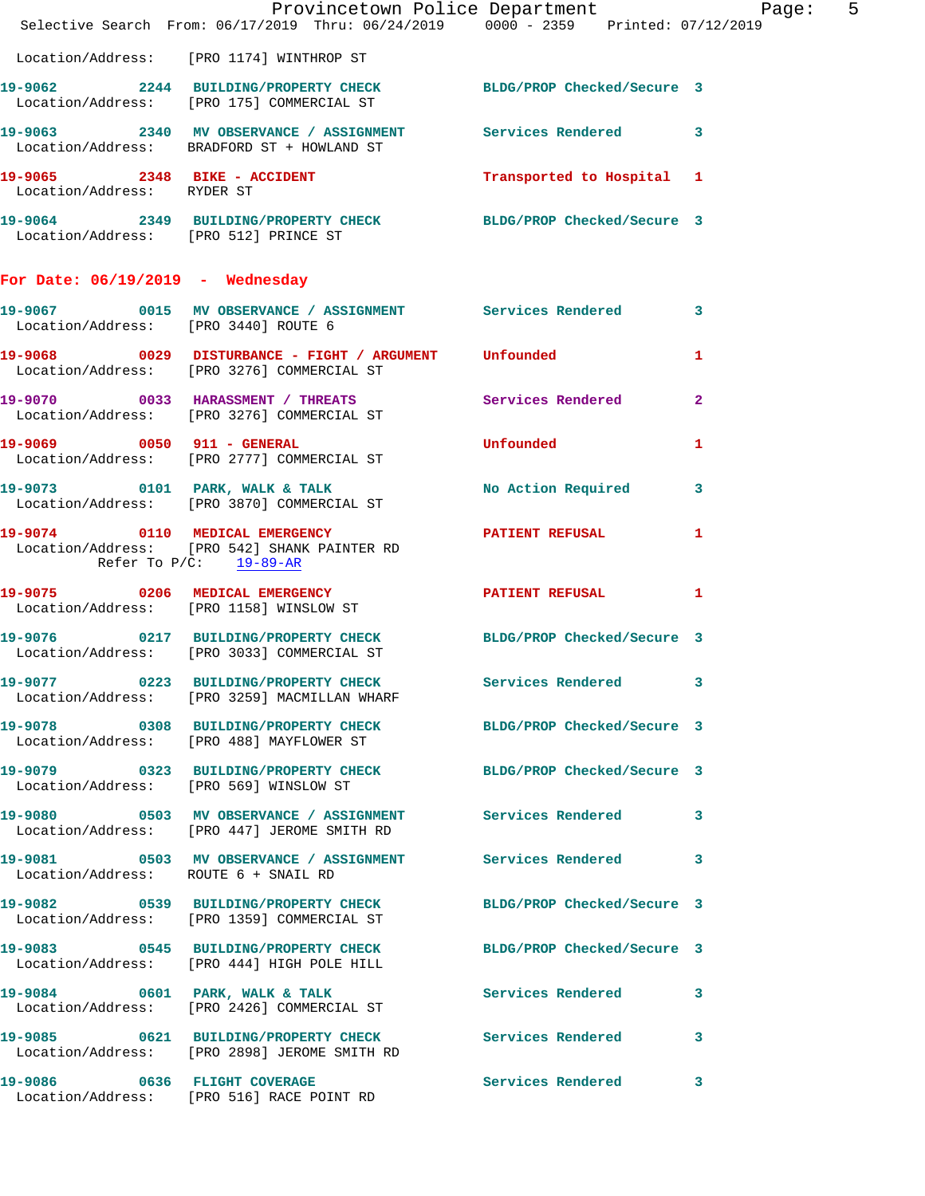|                                        | Provincetown Police Department Page: 5<br>Selective Search From: 06/17/2019 Thru: 06/24/2019   0000 - 2359   Printed: 07/12/2019 |                            |              |
|----------------------------------------|----------------------------------------------------------------------------------------------------------------------------------|----------------------------|--------------|
|                                        | Location/Address: [PRO 1174] WINTHROP ST                                                                                         |                            |              |
|                                        | 19-9062 2244 BUILDING/PROPERTY CHECK BLDG/PROP Checked/Secure 3<br>Location/Address: [PRO 175] COMMERCIAL ST                     |                            |              |
|                                        | 19-9063 2340 MV OBSERVANCE / ASSIGNMENT Services Rendered 3<br>Location/Address: BRADFORD ST + HOWLAND ST                        |                            |              |
| Location/Address: RYDER ST             | 19-9065 2348 BIKE - ACCIDENT Transported to Hospital 1                                                                           |                            |              |
|                                        | 19-9064 2349 BUILDING/PROPERTY CHECK BLDG/PROP Checked/Secure 3<br>Location/Address: [PRO 512] PRINCE ST                         |                            |              |
| For Date: $06/19/2019$ - Wednesday     |                                                                                                                                  |                            |              |
|                                        | 19-9067 0015 MV OBSERVANCE / ASSIGNMENT Services Rendered 3<br>Location/Address: [PRO 3440] ROUTE 6                              |                            |              |
|                                        | 19-9068 0029 DISTURBANCE - FIGHT / ARGUMENT Unfounded<br>Location/Address: [PRO 3276] COMMERCIAL ST                              |                            | $\mathbf{1}$ |
|                                        | 19-9070 0033 HARASSMENT / THREATS Services Rendered 2<br>Location/Address: [PRO 3276] COMMERCIAL ST                              |                            |              |
|                                        | 19-9069 0050 911 - GENERAL<br>Location/Address: [PRO 2777] COMMERCIAL ST                                                         | <b>Unfounded</b>           | 1            |
|                                        | 19-9073 0101 PARK, WALK & TALK NO Action Required 3<br>Location/Address: [PRO 3870] COMMERCIAL ST                                |                            |              |
| Refer To $P/C$ : 19-89-AR              | 19-9074 0110 MEDICAL EMERGENCY PATIENT REFUSAL<br>Location/Address: [PRO 542] SHANK PAINTER RD                                   |                            | $\mathbf{1}$ |
|                                        | Location/Address: [PRO 1158] WINSLOW ST                                                                                          |                            |              |
|                                        | 19-9076 0217 BUILDING/PROPERTY CHECK BLDG/PROP Checked/Secure 3<br>Location/Address: [PRO 3033] COMMERCIAL ST                    |                            |              |
|                                        | 19-9077 0223 BUILDING/PROPERTY CHECK<br>Location/Address: [PRO 3259] MACMILLAN WHARF                                             | Services Rendered 3        |              |
|                                        | 19-9078 			 0308 BUILDING/PROPERTY CHECK 				BLDG/PROP Checked/Secure 3<br>Location/Address: [PRO 488] MAYFLOWER ST              |                            |              |
| Location/Address: [PRO 569] WINSLOW ST | 19-9079 0323 BUILDING/PROPERTY CHECK BLDG/PROP Checked/Secure 3                                                                  |                            |              |
|                                        | 19-9080 0503 MV OBSERVANCE / ASSIGNMENT Services Rendered<br>Location/Address: [PRO 447] JEROME SMITH RD                         |                            | 3            |
| Location/Address: ROUTE 6 + SNAIL RD   | 19-9081 0503 MV OBSERVANCE / ASSIGNMENT Services Rendered 3                                                                      |                            |              |
|                                        | 19-9082 0539 BUILDING/PROPERTY CHECK<br>Location/Address: [PRO 1359] COMMERCIAL ST                                               | BLDG/PROP Checked/Secure 3 |              |
|                                        | 19-9083 0545 BUILDING/PROPERTY CHECK BLDG/PROP Checked/Secure 3<br>Location/Address: [PRO 444] HIGH POLE HILL                    |                            |              |
|                                        | 19-9084 0601 PARK, WALK & TALK<br>Location/Address: [PRO 2426] COMMERCIAL ST                                                     | Services Rendered          | 3            |
|                                        | 19-9085 0621 BUILDING/PROPERTY CHECK Services Rendered<br>Location/Address: [PRO 2898] JEROME SMITH RD                           |                            | 3            |
|                                        | 19-9086 0636 FLIGHT COVERAGE<br>Location/Address: [PRO 516] RACE POINT RD                                                        | Services Rendered          | 3            |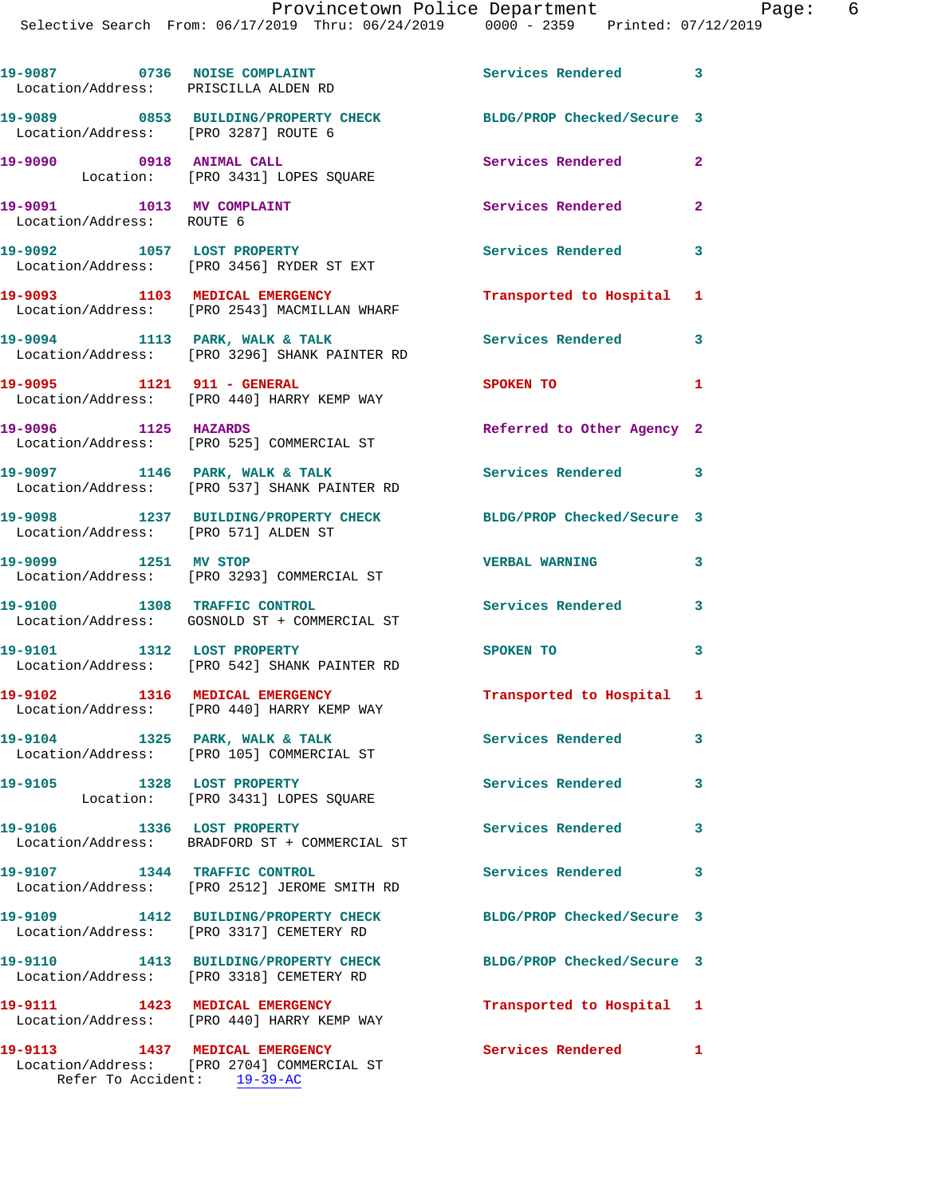| 19-9087 0736 NOISE COMPLAINT<br>Location/Address: PRISCILLA ALDEN RD |                                                                                  | Services Rendered 3        |              |
|----------------------------------------------------------------------|----------------------------------------------------------------------------------|----------------------------|--------------|
| Location/Address: [PRO 3287] ROUTE 6                                 | 19-9089 0853 BUILDING/PROPERTY CHECK BLDG/PROP Checked/Secure 3                  |                            |              |
| 19-9090 0918 ANIMAL CALL                                             | Location: [PRO 3431] LOPES SQUARE                                                | Services Rendered          | $\mathbf{2}$ |
| 19-9091 1013 MV COMPLAINT<br>Location/Address: ROUTE 6               |                                                                                  | Services Rendered          | $\mathbf{2}$ |
|                                                                      | 19-9092 1057 LOST PROPERTY<br>Location/Address: [PRO 3456] RYDER ST EXT          | Services Rendered          | $\mathbf{3}$ |
|                                                                      | 19-9093 1103 MEDICAL EMERGENCY<br>Location/Address: [PRO 2543] MACMILLAN WHARF   | Transported to Hospital 1  |              |
|                                                                      | 19-9094 1113 PARK, WALK & TALK<br>Location/Address: [PRO 3296] SHANK PAINTER RD  | Services Rendered          | 3            |
| 19-9095 1121 911 - GENERAL                                           | Location/Address: [PRO 440] HARRY KEMP WAY                                       | <b>SPOKEN TO</b>           | 1            |
| 19-9096 1125 HAZARDS                                                 | Location/Address: [PRO 525] COMMERCIAL ST                                        | Referred to Other Agency 2 |              |
|                                                                      | 19-9097 1146 PARK, WALK & TALK<br>Location/Address: [PRO 537] SHANK PAINTER RD   | Services Rendered 3        |              |
| Location/Address: [PRO 571] ALDEN ST                                 | 19-9098 1237 BUILDING/PROPERTY CHECK                                             | BLDG/PROP Checked/Secure 3 |              |
|                                                                      | 19-9099 1251 MV STOP<br>Location/Address: [PRO 3293] COMMERCIAL ST               | <b>VERBAL WARNING</b>      | 3            |
| 19-9100 1308 TRAFFIC CONTROL                                         | Location/Address: GOSNOLD ST + COMMERCIAL ST                                     | <b>Services Rendered</b>   | 3            |
|                                                                      | 19-9101 1312 LOST PROPERTY<br>Location/Address: [PRO 542] SHANK PAINTER RD       | SPOKEN TO                  | 3            |
| 19-9102 1316 MEDICAL EMERGENCY                                       | Location/Address: [PRO 440] HARRY KEMP WAY                                       | Transported to Hospital 1  |              |
|                                                                      | 19-9104 1325 PARK, WALK & TALK<br>Location/Address: [PRO 105] COMMERCIAL ST      | <b>Services Rendered</b>   | 3            |
| 19-9105                                                              | 1328 LOST PROPERTY<br>Location: [PRO 3431] LOPES SQUARE                          | Services Rendered          | 3            |
| 19-9106 1336 LOST PROPERTY                                           | Location/Address: BRADFORD ST + COMMERCIAL ST                                    | Services Rendered          | 3            |
| 19-9107 1344 TRAFFIC CONTROL                                         | Location/Address: [PRO 2512] JEROME SMITH RD                                     | Services Rendered          | 3            |
|                                                                      | 19-9109 1412 BUILDING/PROPERTY CHECK<br>Location/Address: [PRO 3317] CEMETERY RD | BLDG/PROP Checked/Secure 3 |              |
|                                                                      | 19-9110 1413 BUILDING/PROPERTY CHECK<br>Location/Address: [PRO 3318] CEMETERY RD | BLDG/PROP Checked/Secure 3 |              |
|                                                                      | 19-9111 1423 MEDICAL EMERGENCY<br>Location/Address: [PRO 440] HARRY KEMP WAY     | Transported to Hospital 1  |              |
| 19-9113 1437 MEDICAL EMERGENCY                                       | Location/Address: [PRO 2704] COMMERCIAL ST                                       | Services Rendered 1        |              |

Refer To Accident: 19-39-AC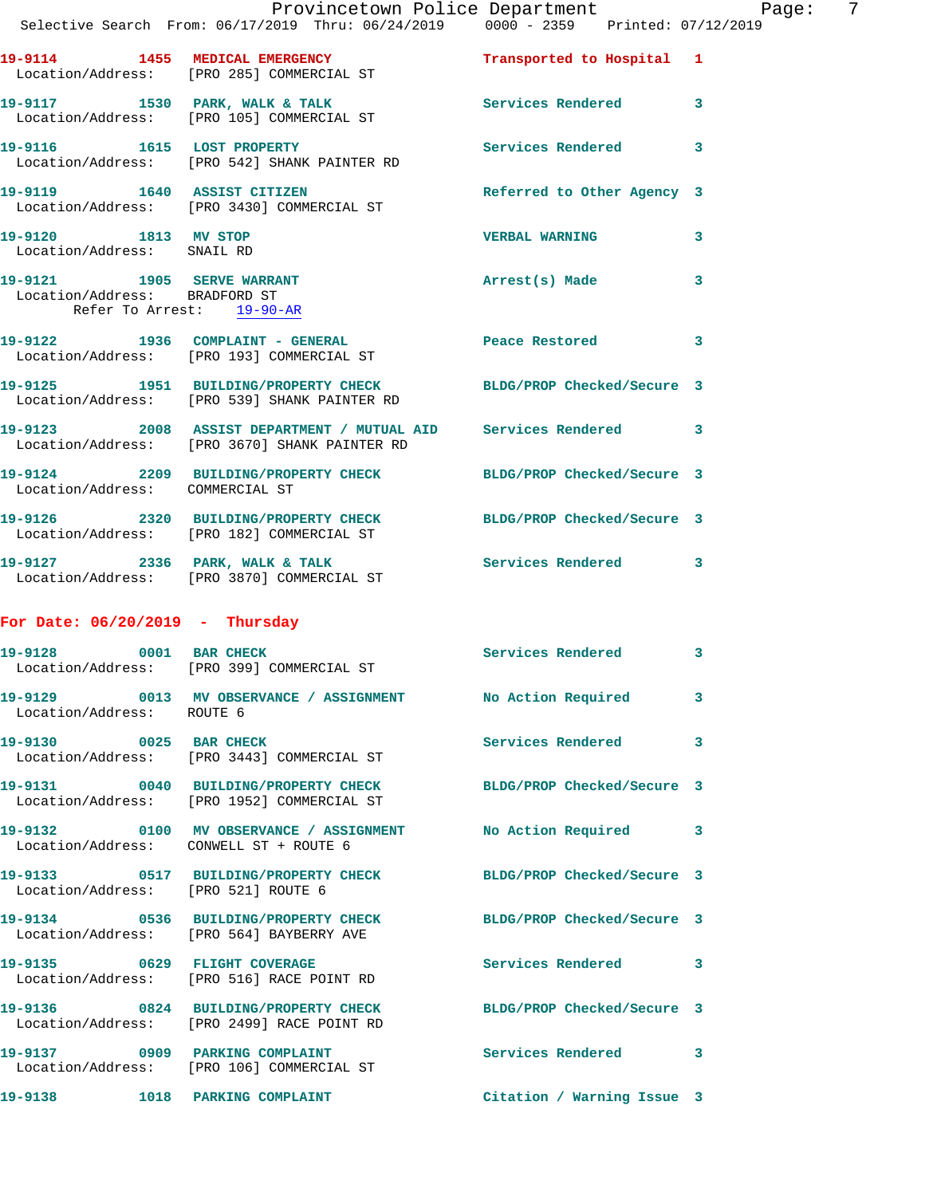|                                                    | Provincetown Police Department Page: 7<br>Selective Search From: $06/17/2019$ Thru: $06/24/2019$ $0000 - 2359$ Printed: 07/12/2019 |                            |              |
|----------------------------------------------------|------------------------------------------------------------------------------------------------------------------------------------|----------------------------|--------------|
|                                                    | 19-9114 1455 MEDICAL EMERGENCY Transported to Hospital 1<br>Location/Address: [PRO 285] COMMERCIAL ST                              |                            |              |
|                                                    | 19-9117 1530 PARK, WALK & TALK 1999 Services Rendered 3<br>Location/Address: [PRO 105] COMMERCIAL ST                               |                            |              |
|                                                    | 19-9116 1615 LOST PROPERTY<br>Location/Address: [PRO 542] SHANK PAINTER RD                                                         | Services Rendered 3        |              |
|                                                    | 19-9119 1640 ASSIST CITIZEN<br>Location/Address: [PRO 3430] COMMERCIAL ST                                                          | Referred to Other Agency 3 |              |
| 19-9120 1813 MV STOP<br>Location/Address: SNAIL RD |                                                                                                                                    | <b>VERBAL WARNING</b>      | $\mathbf{3}$ |
| Refer To Arrest: 19-90-AR                          | 19-9121 1905 SERVE WARRANT<br>Location/Address: BRADFORD ST                                                                        | Arrest(s) Made             | 3            |
|                                                    | 19-9122 1936 COMPLAINT - GENERAL Peace Restored 3<br>Location/Address: [PRO 193] COMMERCIAL ST                                     |                            |              |
|                                                    | 19-9125 1951 BUILDING/PROPERTY CHECK BLDG/PROP Checked/Secure 3<br>Location/Address: [PRO 539] SHANK PAINTER RD                    |                            |              |
|                                                    | 19-9123 2008 ASSIST DEPARTMENT / MUTUAL AID Services Rendered 3<br>Location/Address: [PRO 3670] SHANK PAINTER RD                   |                            |              |
|                                                    | 19-9124 2209 BUILDING/PROPERTY CHECK BLDG/PROP Checked/Secure 3<br>Location/Address: COMMERCIAL ST                                 |                            |              |
|                                                    | 19-9126 2320 BUILDING/PROPERTY CHECK BLDG/PROP Checked/Secure 3<br>Location/Address: [PRO 182] COMMERCIAL ST                       |                            |              |
|                                                    | 19-9127 2336 PARK, WALK & TALK STARE Services Rendered 3<br>Location/Address: [PRO 3870] COMMERCIAL ST                             |                            |              |
| For Date: $06/20/2019$ - Thursday                  |                                                                                                                                    |                            |              |
|                                                    | 19-9128 0001 BAR CHECK<br>Location/Address: [PRO 399] COMMERCIAL ST                                                                | Services Rendered          | $\mathbf{3}$ |
| Location/Address: ROUTE 6                          | 19-9129 0013 MV OBSERVANCE / ASSIGNMENT No Action Required 3                                                                       |                            |              |
|                                                    | 19-9130 0025 BAR CHECK<br>Location/Address: [PRO 3443] COMMERCIAL ST                                                               | Services Rendered          | 3            |
|                                                    | 19-9131 0040 BUILDING/PROPERTY CHECK BLDG/PROP Checked/Secure 3<br>Location/Address: [PRO 1952] COMMERCIAL ST                      |                            |              |
| Location/Address: CONWELL ST + ROUTE 6             | 19-9132 0100 MV OBSERVANCE / ASSIGNMENT No Action Required 3                                                                       |                            |              |
| Location/Address: [PRO 521] ROUTE 6                | 19-9133 0517 BUILDING/PROPERTY CHECK BLDG/PROP Checked/Secure 3                                                                    |                            |              |
|                                                    | 19-9134 0536 BUILDING/PROPERTY CHECK BLDG/PROP Checked/Secure 3<br>Location/Address: [PRO 564] BAYBERRY AVE                        |                            |              |
|                                                    | 19-9135 0629 FLIGHT COVERAGE<br>Location/Address: [PRO 516] RACE POINT RD                                                          | Services Rendered 3        |              |
|                                                    | 19-9136 0824 BUILDING/PROPERTY CHECK BLDG/PROP Checked/Secure 3<br>Location/Address: [PRO 2499] RACE POINT RD                      |                            |              |
| 19-9137 0909 PARKING COMPLAINT                     | Location/Address: [PRO 106] COMMERCIAL ST                                                                                          | Services Rendered 3        |              |
| 19-9138                                            | 1018 PARKING COMPLAINT                                                                                                             | Citation / Warning Issue 3 |              |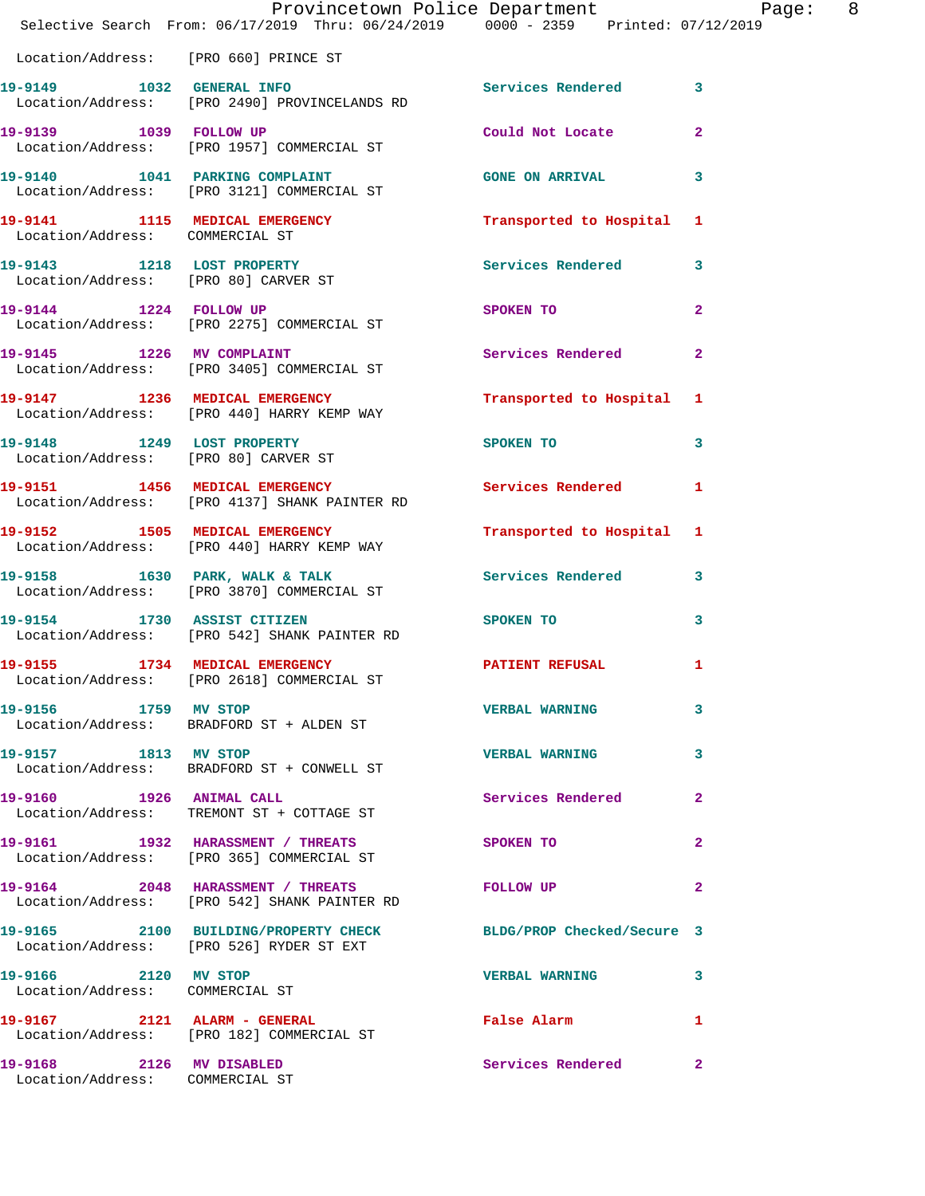|                                                             | Provincetown Police Department Page: 8<br>Selective Search From: $06/17/2019$ Thru: $06/24/2019$ $0000 - 2359$ Printed: 07/12/2019 |                                |                |
|-------------------------------------------------------------|------------------------------------------------------------------------------------------------------------------------------------|--------------------------------|----------------|
| Location/Address: [PRO 660] PRINCE ST                       |                                                                                                                                    |                                |                |
|                                                             | 19-9149 1032 GENERAL INFO<br>Location/Address: [PRO 2490] PROVINCELANDS RD                                                         | Services Rendered 3            |                |
|                                                             | 19-9139 1039 FOLLOW UP<br>Location/Address: [PRO 1957] COMMERCIAL ST                                                               | Could Not Locate               | $\mathbf{2}$   |
|                                                             | 19-9140 1041 PARKING COMPLAINT CONS GONE ON ARRIVAL 3<br>Location/Address: [PRO 3121] COMMERCIAL ST                                |                                |                |
| Location/Address: COMMERCIAL ST                             | 19-9141 1115 MEDICAL EMERGENCY 1 Transported to Hospital 1                                                                         |                                |                |
| Location/Address: [PRO 80] CARVER ST                        | 19-9143 1218 LOST PROPERTY                                                                                                         | Services Rendered 3            |                |
|                                                             | 19-9144 1224 FOLLOW UP<br>Location/Address: [PRO 2275] COMMERCIAL ST                                                               | SPOKEN TO                      | $\mathbf{2}$   |
|                                                             | 19-9145 1226 MV COMPLAINT<br>Location/Address: [PRO 3405] COMMERCIAL ST                                                            | Services Rendered              | $\overline{2}$ |
|                                                             | 19-9147 1236 MEDICAL EMERGENCY<br>Location/Address: [PRO 440] HARRY KEMP WAY                                                       | Transported to Hospital 1      |                |
| Location/Address: [PRO 80] CARVER ST                        | 19-9148 1249 LOST PROPERTY                                                                                                         | SPOKEN TO                      | $\mathbf{3}$   |
|                                                             | 19-9151 1456 MEDICAL EMERGENCY<br>Location/Address: [PRO 4137] SHANK PAINTER RD                                                    | Services Rendered 1            |                |
|                                                             | 19-9152 1505 MEDICAL EMERGENCY<br>Location/Address: [PRO 440] HARRY KEMP WAY                                                       | Transported to Hospital 1      |                |
|                                                             | 19-9158 1630 PARK, WALK & TALK 1999 Services Rendered 3<br>Location/Address: [PRO 3870] COMMERCIAL ST                              |                                |                |
|                                                             | 19-9154 1730 ASSIST CITIZEN<br>Location/Address: [PRO 542] SHANK PAINTER RD                                                        | SPOKEN TO THE STRIKE SPOKEN TO | $\mathbf{3}$   |
| 19-9155                                                     | 1734 MEDICAL EMERGENCY<br>Location/Address: [PRO 2618] COMMERCIAL ST                                                               | <b>PATIENT REFUSAL 1</b>       |                |
| 19-9156 1759 MV STOP                                        | Location/Address: BRADFORD ST + ALDEN ST                                                                                           | <b>VERBAL WARNING</b>          | 3              |
| 19-9157 1813 MV STOP                                        | Location/Address: BRADFORD ST + CONWELL ST                                                                                         | <b>VERBAL WARNING</b>          | 3              |
|                                                             | 19-9160 1926 ANIMAL CALL<br>Location/Address: TREMONT ST + COTTAGE ST                                                              | Services Rendered              | $\mathbf{2}$   |
|                                                             | 19-9161 1932 HARASSMENT / THREATS<br>Location/Address: [PRO 365] COMMERCIAL ST                                                     | <b>SPOKEN TO</b>               | $\mathbf{2}$   |
|                                                             | 19-9164 2048 HARASSMENT / THREATS<br>Location/Address: [PRO 542] SHANK PAINTER RD                                                  | FOLLOW UP                      | $\mathbf{2}$   |
|                                                             | 19-9165 2100 BUILDING/PROPERTY CHECK BLDG/PROP Checked/Secure 3<br>Location/Address: [PRO 526] RYDER ST EXT                        |                                |                |
| 19-9166 2120 MV STOP<br>Location/Address: COMMERCIAL ST     |                                                                                                                                    | <b>VERBAL WARNING</b>          | 3              |
|                                                             | 19-9167 2121 ALARM - GENERAL<br>Location/Address: [PRO 182] COMMERCIAL ST                                                          | False Alarm <b>Example 2</b>   | 1              |
| 19-9168 2126 MV DISABLED<br>Location/Address: COMMERCIAL ST |                                                                                                                                    | Services Rendered 2            |                |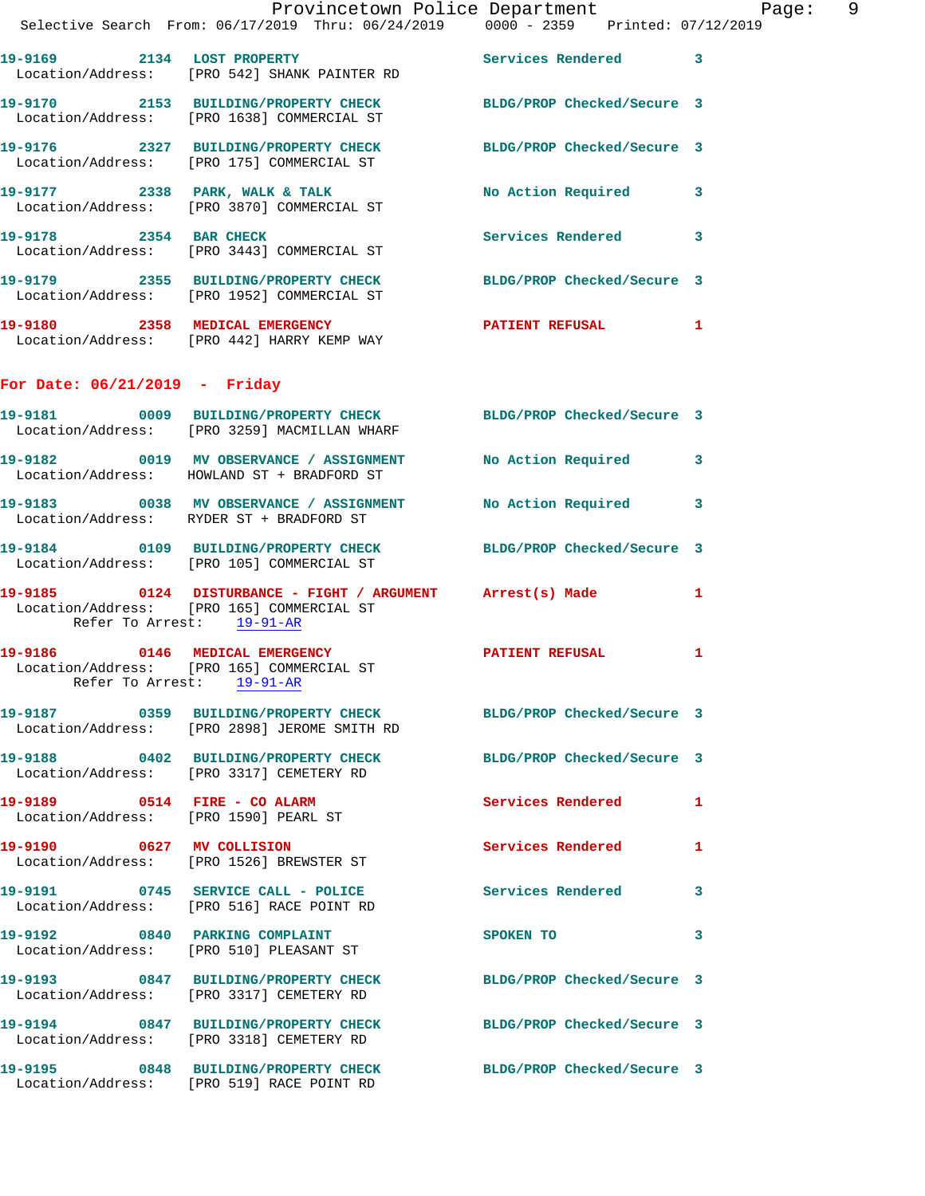| Selective Search From: 06/17/2019 Thru: 06/24/2019 0000 - 2359 Printed: 07/12/2019                            |  |  | Provincetown Police Department |                         | Page: | 9 |
|---------------------------------------------------------------------------------------------------------------|--|--|--------------------------------|-------------------------|-------|---|
| 19-9169 2134 LOST PROPERTY<br>Location/Address: [PRO 542] SHANK PAINTER RD                                    |  |  | Services Rendered 3            |                         |       |   |
| 19-9170 2153 BUILDING/PROPERTY CHECK BLDG/PROP Checked/Secure 3<br>Location/Address: [PRO 1638] COMMERCIAL ST |  |  |                                |                         |       |   |
| 19-9176 2327 BUILDING/PROPERTY CHECK BLDG/PROP Checked/Secure 3<br>Location/Address: [PRO 175] COMMERCIAL ST  |  |  |                                |                         |       |   |
| 19-9177 2338 PARK, WALK & TALK<br>Location/Address: [PRO 3870] COMMERCIAL ST                                  |  |  | No Action Required             | 3                       |       |   |
| 19-9178 2354 BAR CHECK<br>Location/Address: [PRO 3443] COMMERCIAL ST                                          |  |  | <b>Services Rendered</b>       | $\overline{\mathbf{3}}$ |       |   |
| 19-9179 2355 BUILDING/PROPERTY CHECK<br>Location/Address: [PRO 1952] COMMERCIAL ST                            |  |  | BLDG/PROP Checked/Secure 3     |                         |       |   |
| 19-9180 2358 MEDICAL EMERGENCY<br>Location/Address: [PRO 442] HARRY KEMP WAY                                  |  |  | <b>PATIENT REFUSAL</b>         | 1                       |       |   |

## **For Date: 06/21/2019 - Friday**

|                                                                       | 19-9181 0009 BUILDING/PROPERTY CHECK<br>Location/Address: [PRO 3259] MACMILLAN WHARF                            | BLDG/PROP Checked/Secure 3 |                         |
|-----------------------------------------------------------------------|-----------------------------------------------------------------------------------------------------------------|----------------------------|-------------------------|
|                                                                       | 19-9182 0019 MV OBSERVANCE / ASSIGNMENT<br>Location/Address: HOWLAND ST + BRADFORD ST                           | No Action Required         | 3                       |
|                                                                       | 19-9183 6038 MV OBSERVANCE / ASSIGNMENT No Action Required<br>Location/Address: RYDER ST + BRADFORD ST          |                            | $\overline{\mathbf{3}}$ |
|                                                                       | 19-9184 0109 BUILDING/PROPERTY CHECK<br>Location/Address: [PRO 105] COMMERCIAL ST                               | BLDG/PROP Checked/Secure 3 |                         |
| Refer To Arrest: 19-91-AR                                             | 19-9185 0124 DISTURBANCE - FIGHT / ARGUMENT Arrest(s) Made 1<br>Location/Address: [PRO 165] COMMERCIAL ST       |                            |                         |
| Refer To Arrest: 19-91-AR                                             | 19-9186 0146 MEDICAL EMERGENCY<br>Location/Address: [PRO 165] COMMERCIAL ST                                     | PATIENT REFUSAL 1          |                         |
|                                                                       | 19-9187 0359 BUILDING/PROPERTY CHECK BLDG/PROP Checked/Secure 3<br>Location/Address: [PRO 2898] JEROME SMITH RD |                            |                         |
|                                                                       |                                                                                                                 | BLDG/PROP Checked/Secure 3 |                         |
| 19-9189 0514 FIRE - CO ALARM<br>Location/Address: [PRO 1590] PEARL ST |                                                                                                                 | Services Rendered          | $\mathbf{1}$            |
|                                                                       | 19-9190 0627 MV COLLISION<br>Location/Address: [PRO 1526] BREWSTER ST                                           | <b>Services Rendered</b>   | $\mathbf{1}$            |
|                                                                       | 19-9191 0745 SERVICE CALL - POLICE<br>Location/Address: [PRO 516] RACE POINT RD                                 | Services Rendered 3        |                         |
|                                                                       | 19-9192 0840 PARKING COMPLAINT<br>Location/Address: [PRO 510] PLEASANT ST                                       | SPOKEN TO                  | $\overline{\mathbf{3}}$ |
|                                                                       | 19-9193 0847 BUILDING/PROPERTY CHECK<br>Location/Address: [PRO 3317] CEMETERY RD                                | BLDG/PROP Checked/Secure 3 |                         |
|                                                                       | 19-9194 0847 BUILDING/PROPERTY CHECK<br>Location/Address: [PRO 3318] CEMETERY RD                                | BLDG/PROP Checked/Secure 3 |                         |
|                                                                       | 19-9195 0848 BUILDING/PROPERTY CHECK<br>Location/Address: [PRO 519] RACE POINT RD                               | BLDG/PROP Checked/Secure 3 |                         |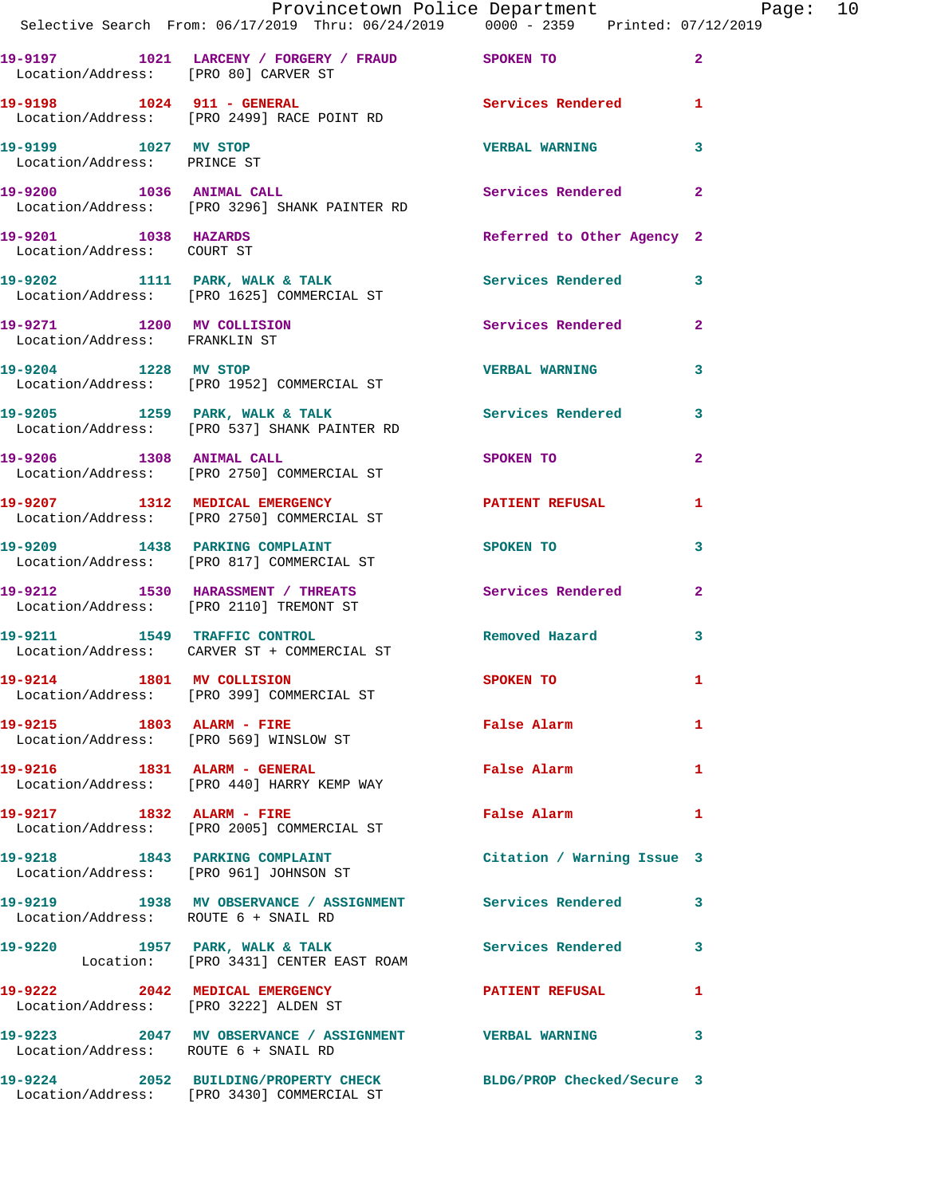|                                                     | Provincetown Police Department<br>Selective Search From: 06/17/2019 Thru: 06/24/2019 0000 - 2359 Printed: 07/12/2019 |                            |              |  |
|-----------------------------------------------------|----------------------------------------------------------------------------------------------------------------------|----------------------------|--------------|--|
|                                                     | 19-9197 1021 LARCENY / FORGERY / FRAUD SPOKEN TO 2<br>Location/Address: [PRO 80] CARVER ST                           |                            |              |  |
|                                                     | 19-9198 1024 911 - GENERAL 1 Services Rendered 1<br>Location/Address: [PRO 2499] RACE POINT RD                       |                            |              |  |
| 19-9199 1027 MV STOP<br>Location/Address: PRINCE ST |                                                                                                                      | <b>VERBAL WARNING</b>      | 3            |  |
|                                                     | 19-9200 1036 ANIMAL CALL 2 Services Rendered 2<br>Location/Address: [PRO 3296] SHANK PAINTER RD                      |                            |              |  |
| Location/Address: COURT ST                          | 19-9201 1038 HAZARDS                                                                                                 | Referred to Other Agency 2 |              |  |
|                                                     | 19-9202 1111 PARK, WALK & TALK 1999 Services Rendered 3<br>Location/Address: [PRO 1625] COMMERCIAL ST                |                            |              |  |
| Location/Address: FRANKLIN ST                       | 19-9271 1200 MV COLLISION                                                                                            | Services Rendered 2        |              |  |
|                                                     | 19-9204 1228 MV STOP VERBAL WARNING<br>Location/Address: [PRO 1952] COMMERCIAL ST                                    |                            | 3            |  |
|                                                     | 19-9205 1259 PARK, WALK & TALK 1999 Services Rendered 3<br>Location/Address: [PRO 537] SHANK PAINTER RD              |                            |              |  |
|                                                     | 19-9206 1308 ANIMAL CALL SPOKEN TO<br>Location/Address: [PRO 2750] COMMERCIAL ST                                     |                            | $\mathbf{2}$ |  |
|                                                     | 19-9207 1312 MEDICAL EMERGENCY PATIENT REFUSAL<br>Location/Address: [PRO 2750] COMMERCIAL ST                         |                            | $\mathbf{1}$ |  |
|                                                     | 19-9209 1438 PARKING COMPLAINT SPOKEN TO<br>Location/Address: [PRO 817] COMMERCIAL ST                                |                            | 3            |  |
|                                                     | 19-9212 1530 HARASSMENT / THREATS Services Rendered 2<br>Location/Address: [PRO 2110] TREMONT ST                     |                            |              |  |
|                                                     | 19-9211 1549 TRAFFIC CONTROL<br>Location/Address: CARVER ST + COMMERCIAL ST                                          | Removed Hazard 3           |              |  |
|                                                     | 19-9214 1801 MV COLLISION<br>Location/Address: [PRO 399] COMMERCIAL ST                                               | <b>SPOKEN TO</b>           |              |  |
|                                                     | 19-9215 1803 ALARM - FIRE<br>Location/Address: [PRO 569] WINSLOW ST                                                  | False Alarm                | $\mathbf{1}$ |  |
|                                                     | 19-9216 1831 ALARM - GENERAL<br>Location/Address: [PRO 440] HARRY KEMP WAY                                           | <b>False Alarm</b>         | $\mathbf{1}$ |  |
|                                                     | 19-9217 1832 ALARM - FIRE<br>Location/Address: [PRO 2005] COMMERCIAL ST                                              | False Alarm                | 1            |  |
|                                                     | 19-9218 1843 PARKING COMPLAINT<br>Location/Address: [PRO 961] JOHNSON ST                                             | Citation / Warning Issue 3 |              |  |
| Location/Address: ROUTE 6 + SNAIL RD                | 19-9219 1938 MV OBSERVANCE / ASSIGNMENT Services Rendered 3                                                          |                            |              |  |
|                                                     | 19-9220 1957 PARK, WALK & TALK Services Rendered 3<br>Location: [PRO 3431] CENTER EAST ROAM                          |                            |              |  |
|                                                     | 19-9222 2042 MEDICAL EMERGENCY PATIENT REFUSAL<br>Location/Address: [PRO 3222] ALDEN ST                              |                            | 1            |  |
| Location/Address: ROUTE 6 + SNAIL RD                | 19-9223 2047 MV OBSERVANCE / ASSIGNMENT VERBAL WARNING 3                                                             |                            |              |  |
|                                                     | 19-9224 2052 BUILDING/PROPERTY CHECK BLDG/PROP Checked/Secure 3<br>Location/Address: [PRO 3430] COMMERCIAL ST        |                            |              |  |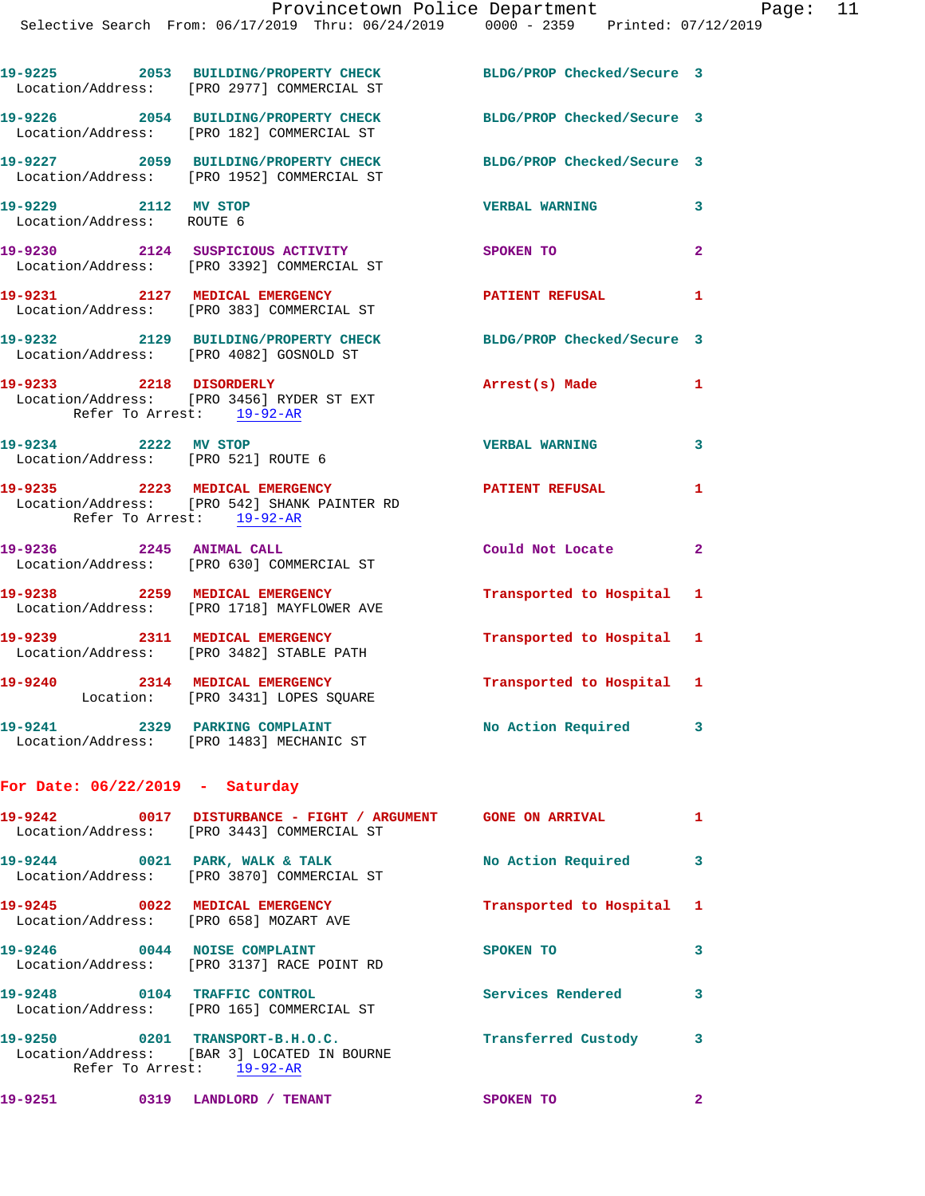|                                                             | 19-9225 2053 BUILDING/PROPERTY CHECK<br>Location/Address: [PRO 2977] COMMERCIAL ST                        | BLDG/PROP Checked/Secure 3 |                |
|-------------------------------------------------------------|-----------------------------------------------------------------------------------------------------------|----------------------------|----------------|
|                                                             | 19-9226 2054 BUILDING/PROPERTY CHECK<br>Location/Address: [PRO 182] COMMERCIAL ST                         | BLDG/PROP Checked/Secure 3 |                |
|                                                             | 19-9227 2059 BUILDING/PROPERTY CHECK<br>Location/Address: [PRO 1952] COMMERCIAL ST                        | BLDG/PROP Checked/Secure 3 |                |
| 19-9229 2112 MV STOP<br>Location/Address: ROUTE 6           |                                                                                                           | <b>VERBAL WARNING</b>      | 3              |
|                                                             | 19-9230 2124 SUSPICIOUS ACTIVITY<br>Location/Address: [PRO 3392] COMMERCIAL ST                            | SPOKEN TO                  | $\overline{2}$ |
|                                                             | 19-9231 2127 MEDICAL EMERGENCY<br>Location/Address: [PRO 383] COMMERCIAL ST                               | <b>PATIENT REFUSAL</b>     | 1              |
|                                                             | 19-9232 2129 BUILDING/PROPERTY CHECK<br>Location/Address: [PRO 4082] GOSNOLD ST                           | BLDG/PROP Checked/Secure 3 |                |
| 19-9233 2218 DISORDERLY                                     | Location/Address: [PRO 3456] RYDER ST EXT<br>Refer To Arrest: 19-92-AR                                    | Arrest(s) Made             | 1              |
| 19-9234 2222 MV STOP<br>Location/Address: [PRO 521] ROUTE 6 |                                                                                                           | <b>VERBAL WARNING</b>      | 3              |
| 19-9235 2223 MEDICAL EMERGENCY                              | Location/Address: [PRO 542] SHANK PAINTER RD<br>Refer To Arrest: 19-92-AR                                 | <b>PATIENT REFUSAL</b>     | 1              |
| 19-9236 2245 ANIMAL CALL                                    | Location/Address: [PRO 630] COMMERCIAL ST                                                                 | Could Not Locate           | $\mathbf{2}$   |
| 19-9238 2259 MEDICAL EMERGENCY                              | Location/Address: [PRO 1718] MAYFLOWER AVE                                                                | Transported to Hospital 1  |                |
|                                                             | 19-9239 2311 MEDICAL EMERGENCY<br>Location/Address: [PRO 3482] STABLE PATH                                | Transported to Hospital 1  |                |
| 19-9240                                                     | 2314 MEDICAL EMERGENCY<br>Location: [PRO 3431] LOPES SQUARE                                               | Transported to Hospital 1  |                |
| 19-9241                                                     | 2329 PARKING COMPLAINT<br>Location/Address: [PRO 1483] MECHANIC ST                                        | No Action Required         | 3              |
| For Date: $06/22/2019$ - Saturday                           |                                                                                                           |                            |                |
|                                                             | 19-9242 0017 DISTURBANCE - FIGHT / ARGUMENT GONE ON ARRIVAL<br>Location/Address: [PRO 3443] COMMERCIAL ST |                            | $\mathbf{1}$   |
| 19-9244 0021 PARK, WALK & TALK                              | Location/Address: [PRO 3870] COMMERCIAL ST                                                                | No Action Required         | 3              |
| 19-9245 0022 MEDICAL EMERGENCY                              | Location/Address: [PRO 658] MOZART AVE                                                                    | Transported to Hospital    | 1              |
| 19-9246 0044 NOISE COMPLAINT                                | Location/Address: [PRO 3137] RACE POINT RD                                                                | SPOKEN TO                  | 3              |
| 19-9248 0104 TRAFFIC CONTROL                                | Location/Address: [PRO 165] COMMERCIAL ST                                                                 | Services Rendered          | 3              |
| 19-9250                                                     | 0201 TRANSPORT-B.H.O.C.<br>Location/Address: [BAR 3] LOCATED IN BOURNE<br>Refer To Arrest: 19-92-AR       | Transferred Custody        | 3              |

**19-9251 0319 LANDLORD / TENANT SPOKEN TO 2**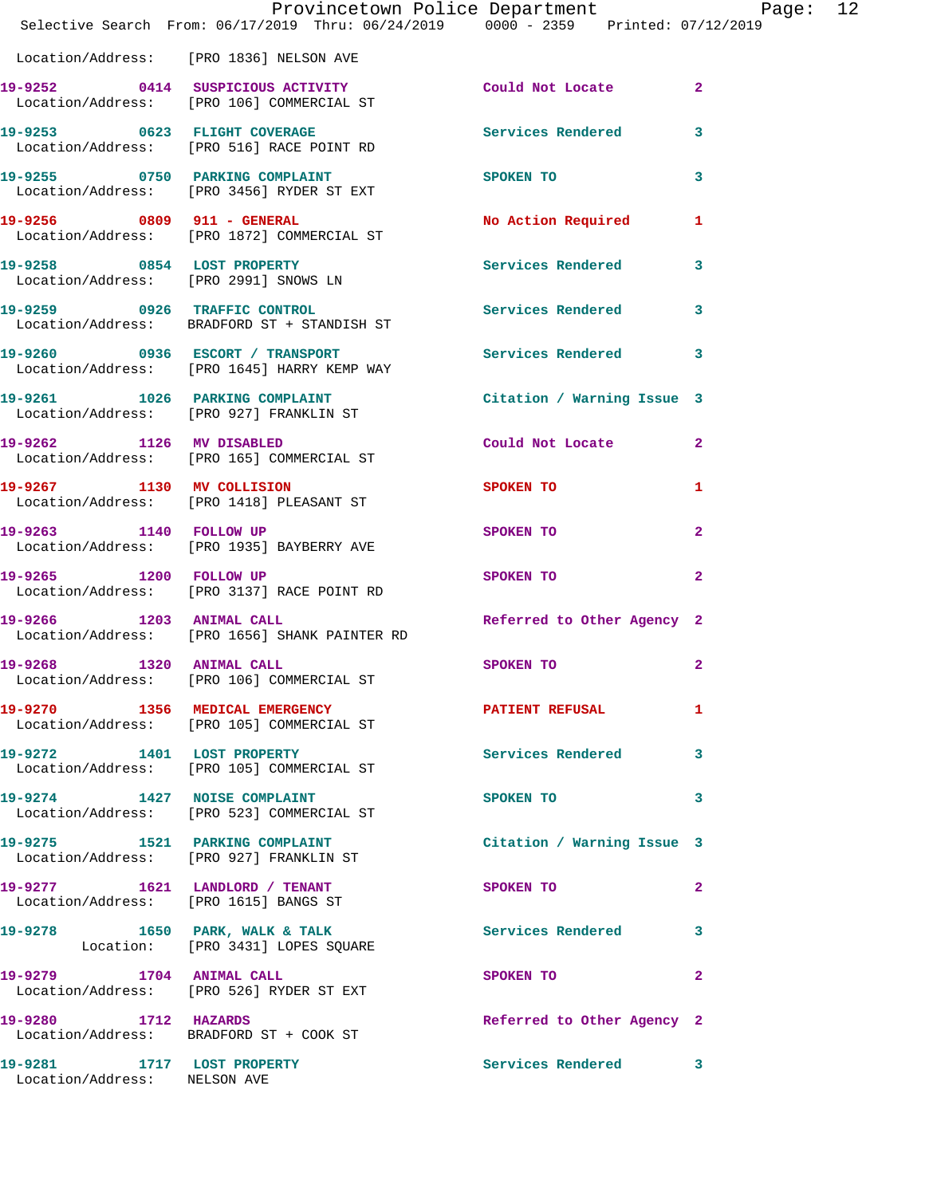|                                                            | Provincetown Police Department Page: 12<br>Selective Search From: 06/17/2019 Thru: 06/24/2019 0000 - 2359 Printed: 07/12/2019 |                            |                |  |
|------------------------------------------------------------|-------------------------------------------------------------------------------------------------------------------------------|----------------------------|----------------|--|
|                                                            | Location/Address: [PRO 1836] NELSON AVE                                                                                       |                            |                |  |
|                                                            | 19-9252 0414 SUSPICIOUS ACTIVITY<br>Location/Address: [PRO 106] COMMERCIAL ST                                                 | Could Not Locate 2         |                |  |
|                                                            | 19-9253 0623 FLIGHT COVERAGE<br>Location/Address: [PRO 516] RACE POINT RD                                                     | Services Rendered          | 3              |  |
|                                                            | 19-9255 0750 PARKING COMPLAINT<br>Location/Address: [PRO 3456] RYDER ST EXT                                                   | SPOKEN TO                  | 3              |  |
|                                                            | 19-9256 0809 911 - GENERAL<br>Location/Address: [PRO 1872] COMMERCIAL ST                                                      | No Action Required 1       |                |  |
|                                                            | 19-9258 0854 LOST PROPERTY<br>Location/Address: [PRO 2991] SNOWS LN                                                           | Services Rendered          | $\mathbf{3}$   |  |
|                                                            | 19-9259 0926 TRAFFIC CONTROL<br>Location/Address: BRADFORD ST + STANDISH ST                                                   | Services Rendered 3        |                |  |
|                                                            | 19-9260 0936 ESCORT / TRANSPORT<br>Location/Address: [PRO 1645] HARRY KEMP WAY                                                | <b>Services Rendered</b>   | 3              |  |
|                                                            | 19-9261 1026 PARKING COMPLAINT<br>Location/Address: [PRO 927] FRANKLIN ST                                                     | Citation / Warning Issue 3 |                |  |
|                                                            | 19-9262 1126 MV DISABLED<br>Location/Address: [PRO 165] COMMERCIAL ST                                                         | Could Not Locate           | $\overline{2}$ |  |
|                                                            | 19-9267 1130 MV COLLISION<br>Location/Address: [PRO 1418] PLEASANT ST                                                         | <b>SPOKEN TO</b>           | 1              |  |
|                                                            | 19-9263 1140 FOLLOW UP<br>Location/Address: [PRO 1935] BAYBERRY AVE                                                           | SPOKEN TO                  | $\mathbf{2}$   |  |
|                                                            | 19-9265 1200 FOLLOW UP<br>Location/Address: [PRO 3137] RACE POINT RD                                                          | SPOKEN TO                  | $\overline{2}$ |  |
| 19-9266 1203 ANIMAL CALL                                   | Location/Address: [PRO 1656] SHANK PAINTER RD                                                                                 | Referred to Other Agency 2 |                |  |
| 19-9268                                                    | 1320 ANIMAL CALL<br>Location/Address: [PRO 106] COMMERCIAL ST                                                                 | SPOKEN TO                  | $\overline{2}$ |  |
|                                                            | 19-9270 1356 MEDICAL EMERGENCY PATIENT REFUSAL<br>Location/Address: [PRO 105] COMMERCIAL ST                                   |                            | 1              |  |
|                                                            | 19-9272 1401 LOST PROPERTY<br>Location/Address: [PRO 105] COMMERCIAL ST                                                       | Services Rendered 3        |                |  |
|                                                            | 19-9274 1427 NOISE COMPLAINT<br>Location/Address: [PRO 523] COMMERCIAL ST                                                     | SPOKEN TO                  | 3              |  |
|                                                            | 19-9275 1521 PARKING COMPLAINT<br>Location/Address: [PRO 927] FRANKLIN ST                                                     | Citation / Warning Issue 3 |                |  |
|                                                            | 19-9277 1621 LANDLORD / TENANT<br>Location/Address: [PRO 1615] BANGS ST                                                       | SPOKEN TO                  | $\mathbf{2}$   |  |
|                                                            | 19-9278 1650 PARK, WALK & TALK<br>Location: [PRO 3431] LOPES SQUARE                                                           | Services Rendered 3        |                |  |
|                                                            | 19-9279 1704 ANIMAL CALL<br>Location/Address: [PRO 526] RYDER ST EXT                                                          | SPOKEN TO                  | $\overline{2}$ |  |
| 19-9280 1712 HAZARDS                                       | Location/Address: BRADFORD ST + COOK ST                                                                                       | Referred to Other Agency 2 |                |  |
| 19-9281 1717 LOST PROPERTY<br>Location/Address: NELSON AVE |                                                                                                                               | Services Rendered 3        |                |  |
|                                                            |                                                                                                                               |                            |                |  |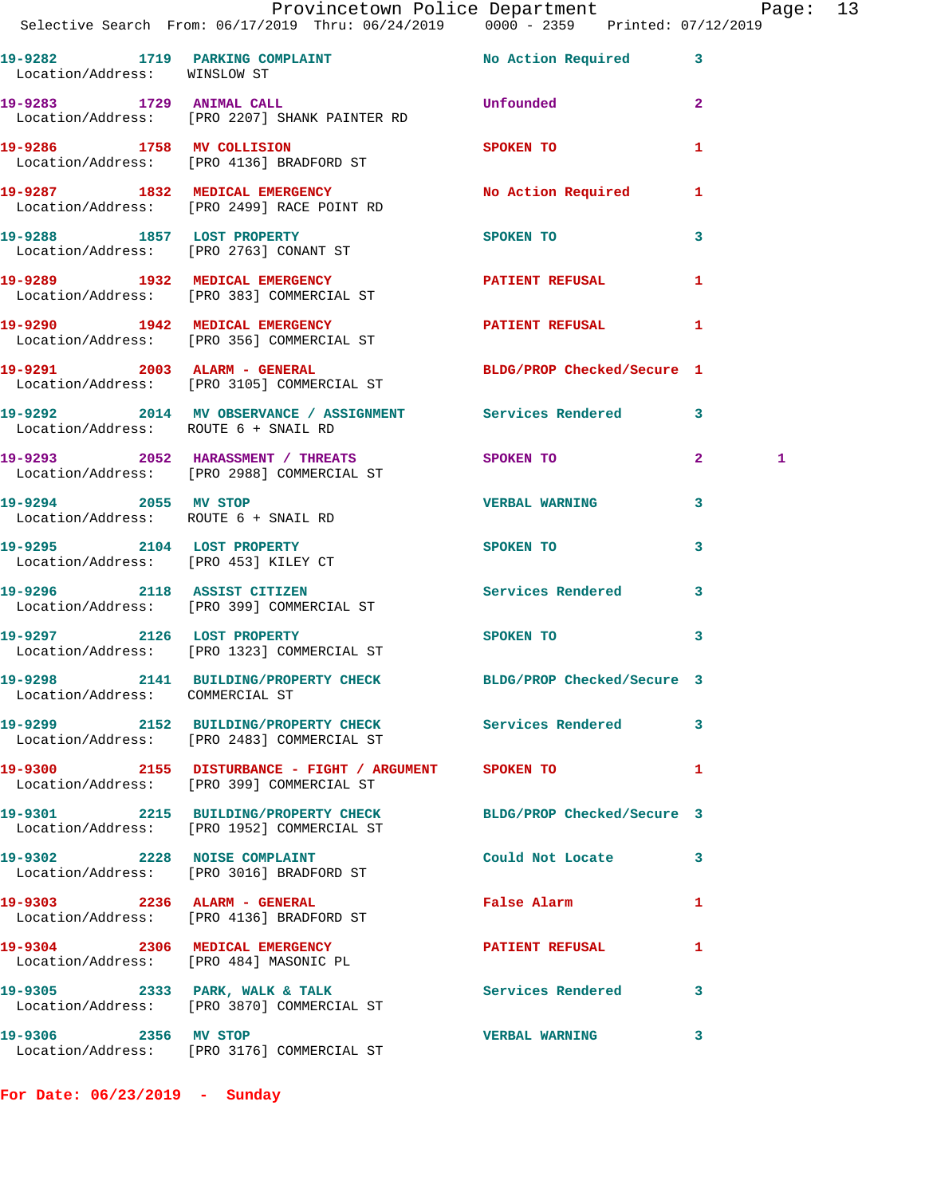|                                 | Provincetown Police Department<br>Selective Search From: 06/17/2019 Thru: 06/24/2019 0000 - 2359 Printed: 07/12/2019 |                                                                                                                                                                                                                                    |                |  |
|---------------------------------|----------------------------------------------------------------------------------------------------------------------|------------------------------------------------------------------------------------------------------------------------------------------------------------------------------------------------------------------------------------|----------------|--|
| Location/Address: WINSLOW ST    | 19-9282 1719 PARKING COMPLAINT No Action Required 3                                                                  |                                                                                                                                                                                                                                    |                |  |
|                                 | 19-9283 1729 ANIMAL CALL<br>Location/Address: [PRO 2207] SHANK PAINTER RD                                            | <b>Unfounded contract the contract of the contract of the contract of the contract of the contract of the contract of the contract of the contract of the contract of the contract of the contract of the contract of the cont</b> | $\mathbf{2}$   |  |
|                                 | 19-9286 1758 MV COLLISION<br>Location/Address: [PRO 4136] BRADFORD ST                                                | SPOKEN TO THE STATE OF THE STATE OF THE STATE OF THE STATE OF THE STATE OF THE STATE OF THE STATE OF THE STATE OF THE STATE OF THE STATE OF THE STATE OF THE STATE OF THE STATE OF THE STATE OF THE STATE OF THE STATE OF THE      | -1             |  |
|                                 | 19-9287 1832 MEDICAL EMERGENCY<br>Location/Address: [PRO 2499] RACE POINT RD                                         | No Action Required 1                                                                                                                                                                                                               |                |  |
|                                 | 19-9288 1857 LOST PROPERTY<br>Location/Address: [PRO 2763] CONANT ST                                                 | SPOKEN TO                                                                                                                                                                                                                          | $\mathbf{3}$   |  |
|                                 | 19-9289 1932 MEDICAL EMERGENCY 1 PATIENT REFUSAL 1<br>Location/Address: [PRO 383] COMMERCIAL ST                      |                                                                                                                                                                                                                                    |                |  |
|                                 | 19-9290 1942 MEDICAL EMERGENCY PATIENT REFUSAL<br>Location/Address: [PRO 356] COMMERCIAL ST                          |                                                                                                                                                                                                                                    | $\mathbf{1}$   |  |
|                                 | 19-9291 2003 ALARM - GENERAL<br>Location/Address: [PRO 3105] COMMERCIAL ST                                           | BLDG/PROP Checked/Secure 1                                                                                                                                                                                                         |                |  |
|                                 | 19-9292 2014 MV OBSERVANCE / ASSIGNMENT Services Rendered 3<br>Location/Address: ROUTE 6 + SNAIL RD                  |                                                                                                                                                                                                                                    |                |  |
|                                 | 19-9293 2052 HARASSMENT / THREATS SPOKEN TO 2<br>Location/Address: [PRO 2988] COMMERCIAL ST                          |                                                                                                                                                                                                                                    | 1              |  |
|                                 | 19-9294 2055 MV STOP 2008 2009 2009 2009 2009 2010<br>Location/Address: ROUTE 6 + SNAIL RD                           |                                                                                                                                                                                                                                    | 3              |  |
|                                 | 19-9295 2104 LOST PROPERTY<br>Location/Address: [PRO 453] KILEY CT                                                   | SPOKEN TO                                                                                                                                                                                                                          | $\mathbf{3}$   |  |
|                                 | 19-9296 2118 ASSIST CITIZEN<br>Location/Address: [PRO 399] COMMERCIAL ST                                             | Services Rendered 3                                                                                                                                                                                                                |                |  |
| 19-9297 2126 LOST PROPERTY      | Location/Address: [PRO 1323] COMMERCIAL ST                                                                           | SPOKEN TO                                                                                                                                                                                                                          | 3              |  |
| Location/Address: COMMERCIAL ST | 19-9298 2141 BUILDING/PROPERTY CHECK BLDG/PROP Checked/Secure 3                                                      |                                                                                                                                                                                                                                    |                |  |
|                                 | 19-9299 2152 BUILDING/PROPERTY CHECK Services Rendered 3<br>Location/Address: [PRO 2483] COMMERCIAL ST               |                                                                                                                                                                                                                                    |                |  |
|                                 | 19-9300 2155 DISTURBANCE - FIGHT / ARGUMENT SPOKEN TO<br>Location/Address: [PRO 399] COMMERCIAL ST                   |                                                                                                                                                                                                                                    | $\mathbf{1}$   |  |
|                                 | 19-9301 2215 BUILDING/PROPERTY CHECK BLDG/PROP Checked/Secure 3<br>Location/Address: [PRO 1952] COMMERCIAL ST        |                                                                                                                                                                                                                                    |                |  |
|                                 | 19-9302 2228 NOISE COMPLAINT<br>Location/Address: [PRO 3016] BRADFORD ST                                             | Could Not Locate 3                                                                                                                                                                                                                 |                |  |
|                                 | 19-9303 2236 ALARM - GENERAL<br>Location/Address: [PRO 4136] BRADFORD ST                                             | False Alarm                                                                                                                                                                                                                        | $\blacksquare$ |  |
|                                 | 19-9304 2306 MEDICAL EMERGENCY<br>Location/Address: [PRO 484] MASONIC PL                                             | PATIENT REFUSAL                                                                                                                                                                                                                    | 1              |  |
|                                 | 19-9305 2333 PARK, WALK & TALK 6 Services Rendered 3<br>Location/Address: [PRO 3870] COMMERCIAL ST                   |                                                                                                                                                                                                                                    |                |  |
|                                 | 19-9306 2356 MV STOP<br>Location/Address: [PRO 3176] COMMERCIAL ST                                                   | <b>VERBAL WARNING</b>                                                                                                                                                                                                              | 3              |  |

**For Date: 06/23/2019 - Sunday**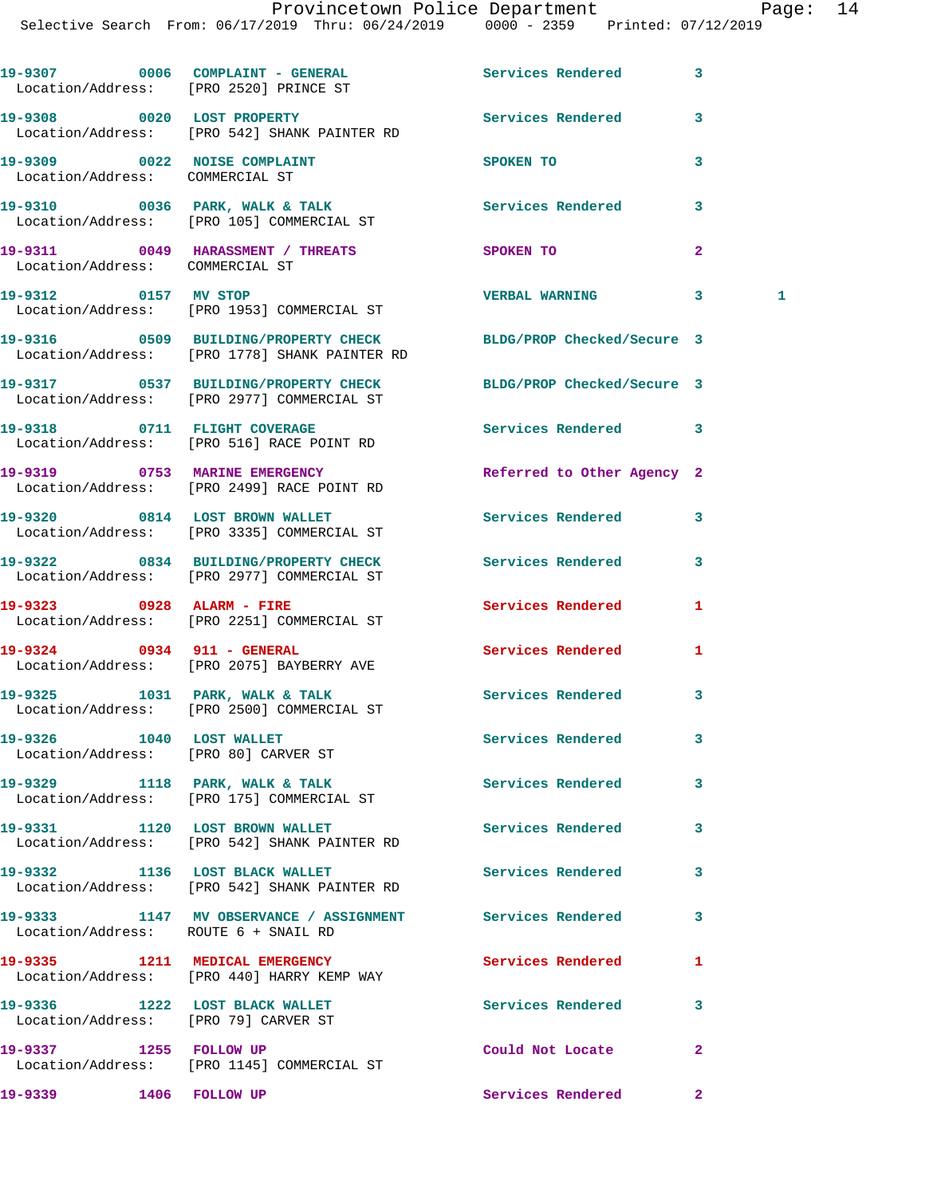|                                                                        | 19-9307 0006 COMPLAINT - GENERAL<br>Location/Address: [PRO 2520] PRINCE ST                                       | Services Rendered          | 3              |
|------------------------------------------------------------------------|------------------------------------------------------------------------------------------------------------------|----------------------------|----------------|
|                                                                        | 19-9308 0020 LOST PROPERTY<br>Location/Address: [PRO 542] SHANK PAINTER RD                                       | Services Rendered          | 3              |
| 19-9309 0022 NOISE COMPLAINT<br>Location/Address: COMMERCIAL ST        |                                                                                                                  | SPOKEN TO                  | 3              |
|                                                                        | 19-9310 0036 PARK, WALK & TALK<br>Location/Address: [PRO 105] COMMERCIAL ST                                      | Services Rendered          | 3              |
| Location/Address: COMMERCIAL ST                                        | 19-9311 0049 HARASSMENT / THREATS                                                                                | <b>SPOKEN TO</b>           | $\overline{a}$ |
|                                                                        | 19-9312 0157 MV STOP<br>Location/Address: [PRO 1953] COMMERCIAL ST                                               | <b>VERBAL WARNING</b>      | 3<br>1         |
|                                                                        | 19-9316 0509 BUILDING/PROPERTY CHECK BLDG/PROP Checked/Secure 3<br>Location/Address: [PRO 1778] SHANK PAINTER RD |                            |                |
|                                                                        | 19-9317 0537 BUILDING/PROPERTY CHECK BLDG/PROP Checked/Secure 3<br>Location/Address: [PRO 2977] COMMERCIAL ST    |                            |                |
|                                                                        | 19-9318 0711 FLIGHT COVERAGE<br>Location/Address: [PRO 516] RACE POINT RD                                        | Services Rendered 3        |                |
|                                                                        | 19-9319 0753 MARINE EMERGENCY<br>Location/Address: [PRO 2499] RACE POINT RD                                      | Referred to Other Agency 2 |                |
|                                                                        | 19-9320 0814 LOST BROWN WALLET<br>Location/Address: [PRO 3335] COMMERCIAL ST                                     | Services Rendered          | 3              |
|                                                                        | 19-9322 0834 BUILDING/PROPERTY CHECK<br>Location/Address: [PRO 2977] COMMERCIAL ST                               | <b>Services Rendered</b>   | 3              |
|                                                                        | 19-9323 0928 ALARM - FIRE<br>Location/Address: [PRO 2251] COMMERCIAL ST                                          | Services Rendered          | 1              |
|                                                                        | 19-9324 0934 911 - GENERAL<br>Location/Address: [PRO 2075] BAYBERRY AVE                                          | <b>Services Rendered</b>   | 1              |
|                                                                        | 19-9325 1031 PARK, WALK & TALK<br>Location/Address: [PRO 2500] COMMERCIAL ST                                     | <b>Services Rendered</b>   | 3              |
| 19-9326 1040 LOST WALLET                                               | Location/Address: [PRO 80] CARVER ST                                                                             | Services Rendered          | 3              |
|                                                                        | 19-9329 1118 PARK, WALK & TALK<br>Location/Address: [PRO 175] COMMERCIAL ST                                      | <b>Services Rendered</b>   | 3              |
|                                                                        | 19-9331 1120 LOST BROWN WALLET<br>Location/Address: [PRO 542] SHANK PAINTER RD                                   | <b>Services Rendered</b>   | 3              |
| 19-9332 1136 LOST BLACK WALLET                                         | Location/Address: [PRO 542] SHANK PAINTER RD                                                                     | Services Rendered          | 3              |
| Location/Address: ROUTE 6 + SNAIL RD                                   | 19-9333 1147 MV OBSERVANCE / ASSIGNMENT Services Rendered                                                        |                            | 3              |
|                                                                        | 19-9335 1211 MEDICAL EMERGENCY<br>Location/Address: [PRO 440] HARRY KEMP WAY                                     | Services Rendered          | 1              |
| 19-9336 1222 LOST BLACK WALLET<br>Location/Address: [PRO 79] CARVER ST |                                                                                                                  | Services Rendered          | 3              |
| 19-9337 1255 FOLLOW UP                                                 | Location/Address: [PRO 1145] COMMERCIAL ST                                                                       | Could Not Locate           | $\mathbf{2}$   |
| 19-9339 1406 FOLLOW UP                                                 |                                                                                                                  | Services Rendered          | $\mathbf{2}$   |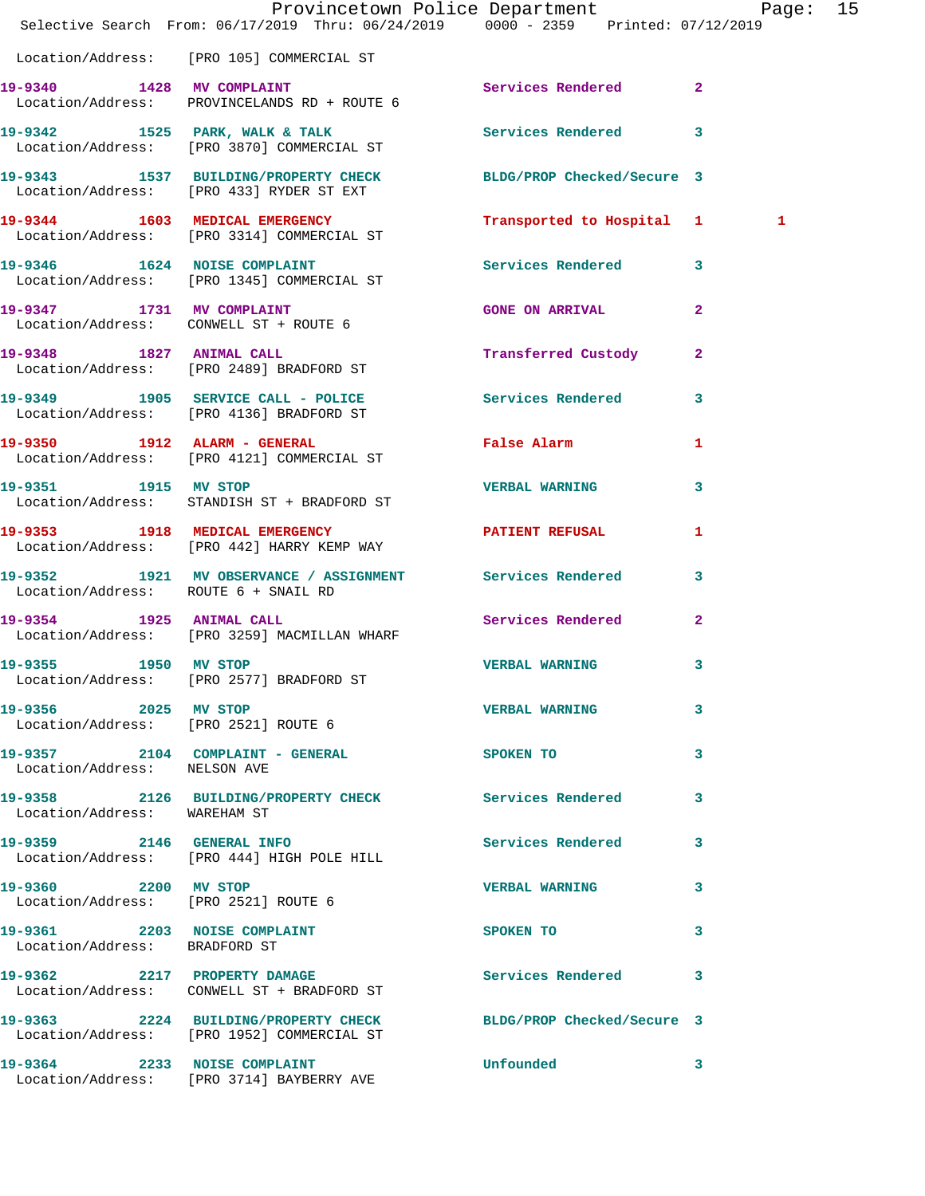|                                                               | Provincetown Police Department Page: 15<br>Selective Search From: 06/17/2019 Thru: 06/24/2019   0000 - 2359   Printed: 07/12/2019 |                           |              |   |  |
|---------------------------------------------------------------|-----------------------------------------------------------------------------------------------------------------------------------|---------------------------|--------------|---|--|
|                                                               | Location/Address: [PRO 105] COMMERCIAL ST                                                                                         |                           |              |   |  |
|                                                               | 19-9340 1428 MV COMPLAINT<br>Location/Address: PROVINCELANDS RD + ROUTE 6                                                         | Services Rendered 2       |              |   |  |
|                                                               | 19-9342 1525 PARK, WALK & TALK 1998 Services Rendered 3<br>Location/Address: [PRO 3870] COMMERCIAL ST                             |                           |              |   |  |
|                                                               | 19-9343 1537 BUILDING/PROPERTY CHECK BLDG/PROP Checked/Secure 3<br>Location/Address: [PRO 433] RYDER ST EXT                       |                           |              |   |  |
|                                                               | 19-9344 1603 MEDICAL EMERGENCY<br>Location/Address: [PRO 3314] COMMERCIAL ST                                                      | Transported to Hospital 1 |              | 1 |  |
|                                                               | 19-9346 1624 NOISE COMPLAINT<br>Location/Address: [PRO 1345] COMMERCIAL ST                                                        | Services Rendered 3       |              |   |  |
|                                                               | 19-9347 1731 MV COMPLAINT<br>Location/Address: CONWELL ST + ROUTE 6                                                               | <b>GONE ON ARRIVAL</b>    | $\mathbf{2}$ |   |  |
|                                                               | 19-9348 1827 ANIMAL CALL<br>Location/Address: [PRO 2489] BRADFORD ST                                                              | Transferred Custody       | $\mathbf{2}$ |   |  |
|                                                               | 19-9349 1905 SERVICE CALL - POLICE<br>Location/Address: [PRO 4136] BRADFORD ST                                                    | Services Rendered 3       |              |   |  |
|                                                               | 19-9350 1912 ALARM - GENERAL<br>Location/Address: [PRO 4121] COMMERCIAL ST                                                        | False Alarm               | 1            |   |  |
| 19-9351 1915 MV STOP                                          | Location/Address: STANDISH ST + BRADFORD ST                                                                                       | <b>VERBAL WARNING</b>     | $\mathbf{3}$ |   |  |
|                                                               | 19-9353 1918 MEDICAL EMERGENCY<br>Location/Address: [PRO 442] HARRY KEMP WAY                                                      | <b>PATIENT REFUSAL</b>    | 1            |   |  |
| Location/Address: ROUTE 6 + SNAIL RD                          | 19-9352 1921 MV OBSERVANCE / ASSIGNMENT Services Rendered 3                                                                       |                           |              |   |  |
|                                                               | 19-9354 1925 ANIMAL CALL<br>Location/Address: [PRO 3259] MACMILLAN WHARF                                                          | Services Rendered         | $\mathbf{2}$ |   |  |
| 19-9355 1950 MV STOP                                          | Location/Address: [PRO 2577] BRADFORD ST                                                                                          | <b>VERBAL WARNING</b>     | $\mathbf{3}$ |   |  |
| 19-9356 2025 MV STOP<br>Location/Address: [PRO 2521] ROUTE 6  |                                                                                                                                   | <b>VERBAL WARNING</b>     | 3            |   |  |
| Location/Address: NELSON AVE                                  | 19-9357 2104 COMPLAINT - GENERAL                                                                                                  | <b>SPOKEN TO</b>          | 3            |   |  |
| Location/Address: WAREHAM ST                                  | 19-9358 2126 BUILDING/PROPERTY CHECK Services Rendered                                                                            |                           | 3            |   |  |
|                                                               | 19-9359 2146 GENERAL INFO<br>Location/Address: [PRO 444] HIGH POLE HILL                                                           | Services Rendered 3       |              |   |  |
| 19-9360 2200 MV STOP<br>Location/Address: [PRO 2521] ROUTE 6  |                                                                                                                                   | <b>VERBAL WARNING</b>     | 3            |   |  |
| 19-9361 2203 NOISE COMPLAINT<br>Location/Address: BRADFORD ST |                                                                                                                                   | SPOKEN TO                 | 3            |   |  |
|                                                               | 19-9362 2217 PROPERTY DAMAGE<br>Location/Address: CONWELL ST + BRADFORD ST                                                        | Services Rendered 3       |              |   |  |
|                                                               | 19-9363 2224 BUILDING/PROPERTY CHECK BLDG/PROP Checked/Secure 3<br>Location/Address: [PRO 1952] COMMERCIAL ST                     |                           |              |   |  |
|                                                               | 19-9364 2233 NOISE COMPLAINT<br>Location/Address: [PRO 3714] BAYBERRY AVE                                                         | <b>Unfounded</b>          | 3            |   |  |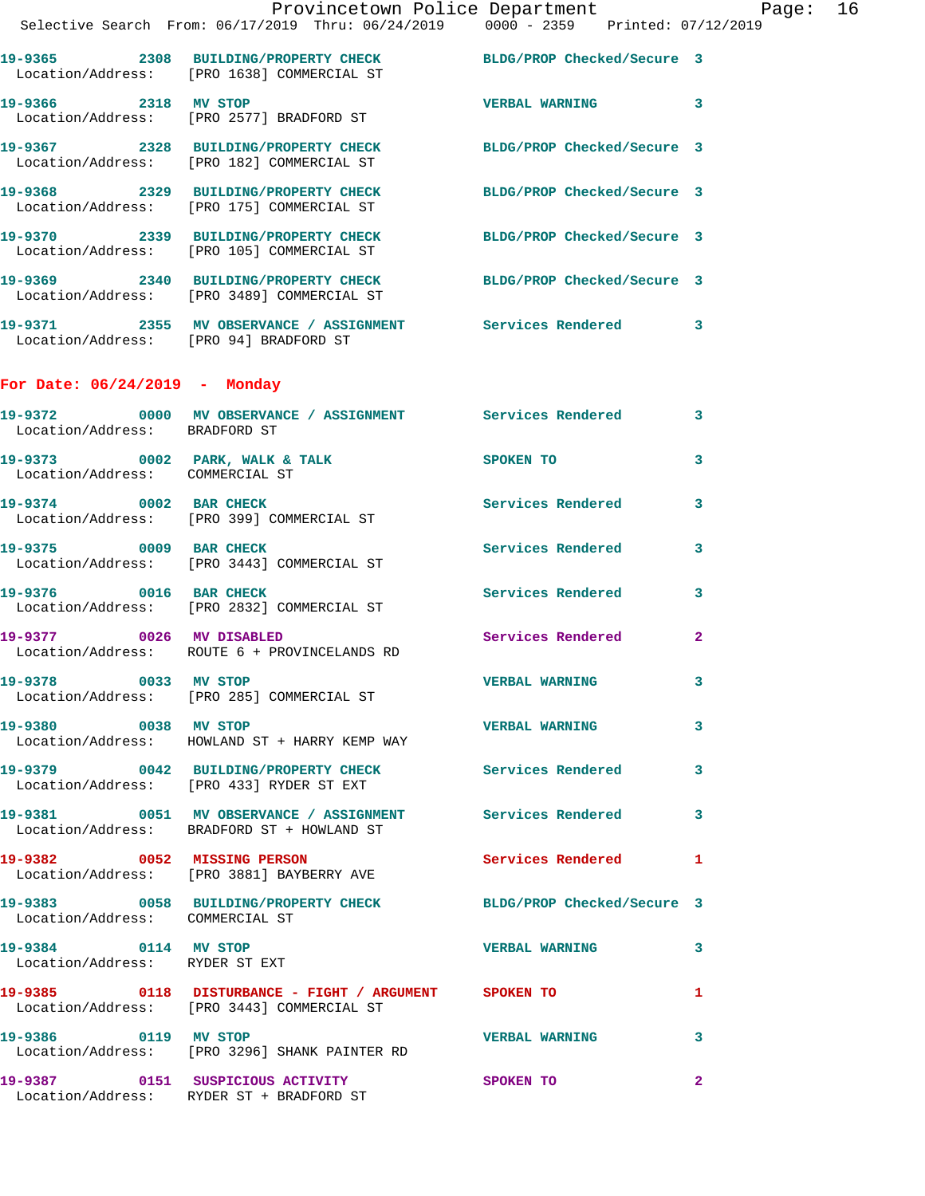|                 | Provincetown Police Department                                                     |                            | Page: | 16 |
|-----------------|------------------------------------------------------------------------------------|----------------------------|-------|----|
|                 | Selective Search From: 06/17/2019 Thru: 06/24/2019 0000 - 2359 Printed: 07/12/2019 |                            |       |    |
| 19–9365         | 2308 BUILDING/PROPERTY CHECK<br>Location/Address: [PRO 1638] COMMERCIAL ST         | BLDG/PROP Checked/Secure 3 |       |    |
| 19–9366<br>2318 | MV STOP<br>Location/Address: [PRO 2577] BRADFORD ST                                | <b>VERBAL WARNING</b>      | 3     |    |
|                 | 19-9367  2328 BUILDING/PROPERTY CHECK<br>Location/Address: [PRO 182] COMMERCIAL ST | BLDG/PROP Checked/Secure 3 |       |    |
| 19-9368         | 2329 BUILDING/PROPERTY CHECK<br>Location/Address: [PRO 175] COMMERCIAL ST          | BLDG/PROP Checked/Secure 3 |       |    |
| 19-9370         | 2339 BUILDING/PROPERTY CHECK<br>Location/Address: [PRO 105] COMMERCIAL ST          | BLDG/PROP Checked/Secure 3 |       |    |

**19-9369 2340 BUILDING/PROPERTY CHECK BLDG/PROP Checked/Secure 3**  Location/Address: [PRO 3489] COMMERCIAL ST **19-9371 2355 MV OBSERVANCE / ASSIGNMENT Services Rendered 3**  Location/Address: [PRO 94] BRADFORD ST

## **For Date: 06/24/2019 - Monday**

| Location/Address: BRADFORD ST                                     |                                                                                                     |                          | 3                       |
|-------------------------------------------------------------------|-----------------------------------------------------------------------------------------------------|--------------------------|-------------------------|
| 19-9373 0002 PARK, WALK & TALK<br>Location/Address: COMMERCIAL ST |                                                                                                     | SPOKEN TO                | $\overline{\mathbf{3}}$ |
| 19-9374 0002 BAR CHECK                                            | Location/Address: [PRO 399] COMMERCIAL ST                                                           | <b>Services Rendered</b> | 3                       |
| 19-9375 0009 BAR CHECK                                            | Location/Address: [PRO 3443] COMMERCIAL ST                                                          | Services Rendered        | 3                       |
| 19-9376 0016 BAR CHECK                                            | Location/Address: [PRO 2832] COMMERCIAL ST                                                          | <b>Services Rendered</b> | $\mathbf{3}$            |
| 19-9377 0026 MV DISABLED                                          | Location/Address: ROUTE 6 + PROVINCELANDS RD                                                        | Services Rendered        | $\mathbf{2}$            |
| 19-9378 0033 MV STOP                                              | Location/Address: [PRO 285] COMMERCIAL ST                                                           | <b>VERBAL WARNING</b>    | $\mathbf{3}$            |
| 19-9380 0038 MV STOP                                              | Location/Address: HOWLAND ST + HARRY KEMP WAY                                                       | <b>VERBAL WARNING</b>    | 3                       |
|                                                                   | 19-9379 0042 BUILDING/PROPERTY CHECK<br>Location/Address: [PRO 433] RYDER ST EXT                    | <b>Services Rendered</b> | $\mathbf{3}$            |
|                                                                   | Location/Address: BRADFORD ST + HOWLAND ST                                                          |                          | $\overline{\mathbf{3}}$ |
|                                                                   | 19-9382 0052 MISSING PERSON<br>Location/Address: [PRO 3881] BAYBERRY AVE                            | Services Rendered        | $\mathbf{1}$            |
| Location/Address: COMMERCIAL ST                                   | 19-9383 0058 BUILDING/PROPERTY CHECK BLDG/PROP Checked/Secure 3                                     |                          |                         |
| 19-9384 0114 MV STOP<br>Location/Address: RYDER ST EXT            |                                                                                                     | <b>VERBAL WARNING</b>    | 3                       |
|                                                                   | 19-9385 0118 DISTURBANCE - FIGHT / ARGUMENT SPOKEN TO<br>Location/Address: [PRO 3443] COMMERCIAL ST |                          | $\mathbf{1}$            |
| 19-9386 0119 MV STOP                                              | Location/Address: [PRO 3296] SHANK PAINTER RD                                                       | <b>VERBAL WARNING</b>    | $\overline{\mathbf{3}}$ |
|                                                                   | 19-9387 0151 SUSPICIOUS ACTIVITY<br>Location/Address: RYDER ST + BRADFORD ST                        | SPOKEN TO                | $\overline{2}$          |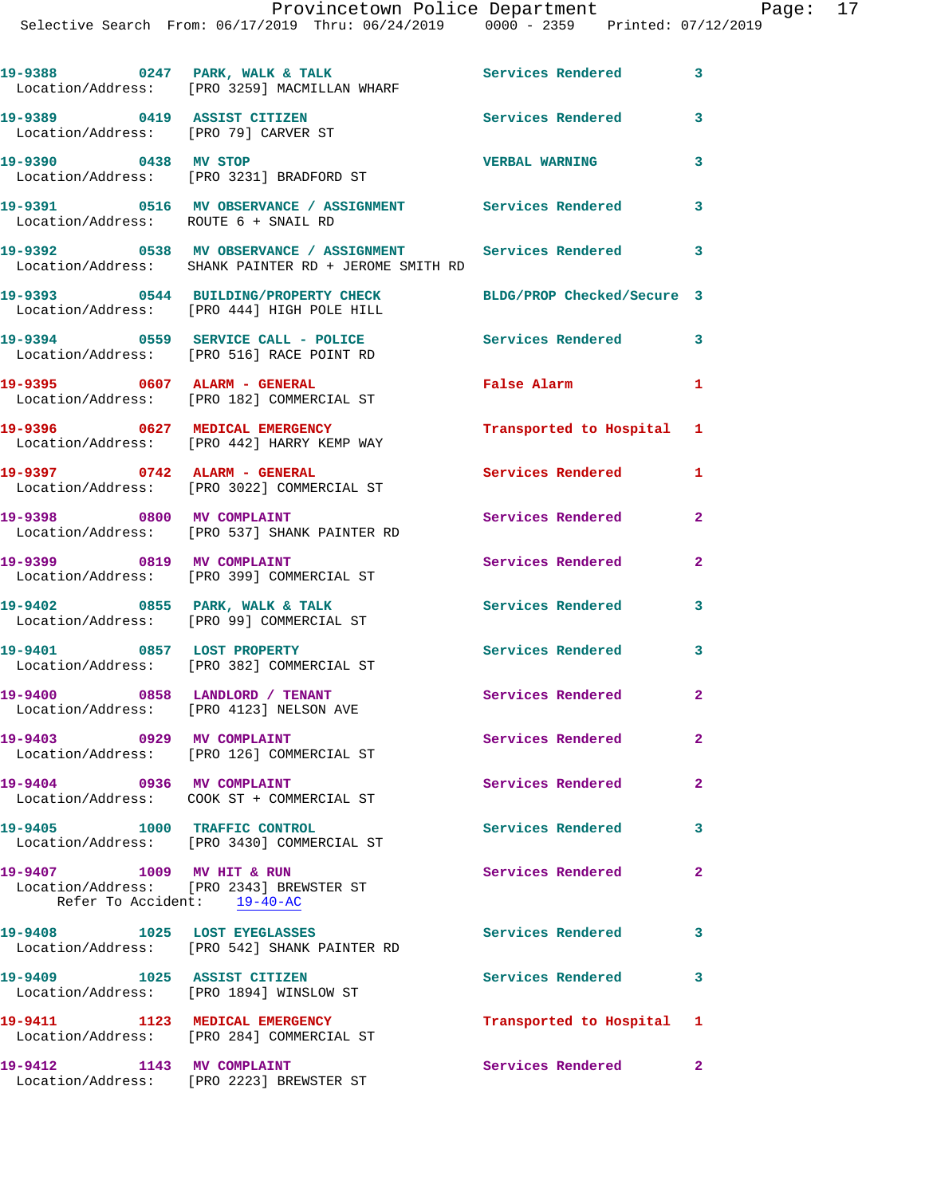19-9388 0247 PARK, WALK & TALK **Services Rendered** 3 Location/Address: [PRO 3259] MACMILLAN WHARF **19-9389 0419 ASSIST CITIZEN Services Rendered 3**  Location/Address: [PRO 79] CARVER ST **19-9390 0438 MV STOP VERBAL WARNING 3**  Location/Address: [PRO 3231] BRADFORD ST **19-9391 0516 MV OBSERVANCE / ASSIGNMENT Services Rendered 3**  Location/Address: ROUTE 6 + SNAIL RD **19-9392 0538 MV OBSERVANCE / ASSIGNMENT Services Rendered 3**  Location/Address: SHANK PAINTER RD + JEROME SMITH RD **19-9393 0544 BUILDING/PROPERTY CHECK BLDG/PROP Checked/Secure 3**  Location/Address: [PRO 444] HIGH POLE HILL **19-9394 0559 SERVICE CALL - POLICE Services Rendered 3**  Location/Address: [PRO 516] RACE POINT RD **19-9395 0607 ALARM - GENERAL False Alarm 1**  Location/Address: [PRO 182] COMMERCIAL ST **19-9396 0627 MEDICAL EMERGENCY Transported to Hospital 1**  Location/Address: [PRO 442] HARRY KEMP WAY **19-9397 0742 ALARM - GENERAL Services Rendered 1**  Location/Address: [PRO 3022] COMMERCIAL ST **19-9398 0800 MV COMPLAINT Services Rendered 2**  Location/Address: [PRO 537] SHANK PAINTER RD **19-9399 0819 MV COMPLAINT Services Rendered 2**  Location/Address: [PRO 399] COMMERCIAL ST 19-9402 0855 PARK, WALK & TALK Services Rendered 3 Location/Address: [PRO 99] COMMERCIAL ST **19-9401 0857 LOST PROPERTY Services Rendered 3**  Location/Address: [PRO 382] COMMERCIAL ST 19-9400 0858 LANDLORD / TENANT Services Rendered 2 Location/Address: [PRO 4123] NELSON AVE **19-9403 0929 MV COMPLAINT Services Rendered 2**  Location/Address: [PRO 126] COMMERCIAL ST **19-9404 0936 MV COMPLAINT Services Rendered 2**  Location/Address: COOK ST + COMMERCIAL ST **19-9405 1000 TRAFFIC CONTROL Services Rendered 3**  Location/Address: [PRO 3430] COMMERCIAL ST **19-9407 1009 MV HIT & RUN Services Rendered 2**  Location/Address: [PRO 2343] BREWSTER ST Refer To Accident: 19-40-AC 19-9408 1025 LOST EYEGLASSES SERVICES Rendered 3 Location/Address: [PRO 542] SHANK PAINTER RD **19-9409 1025 ASSIST CITIZEN Services Rendered 3**  Location/Address: [PRO 1894] WINSLOW ST **19-9411 1123 MEDICAL EMERGENCY Transported to Hospital 1**  Location/Address: [PRO 284] COMMERCIAL ST **19-9412 1143 MV COMPLAINT Services Rendered 2**  Location/Address: [PRO 2223] BREWSTER ST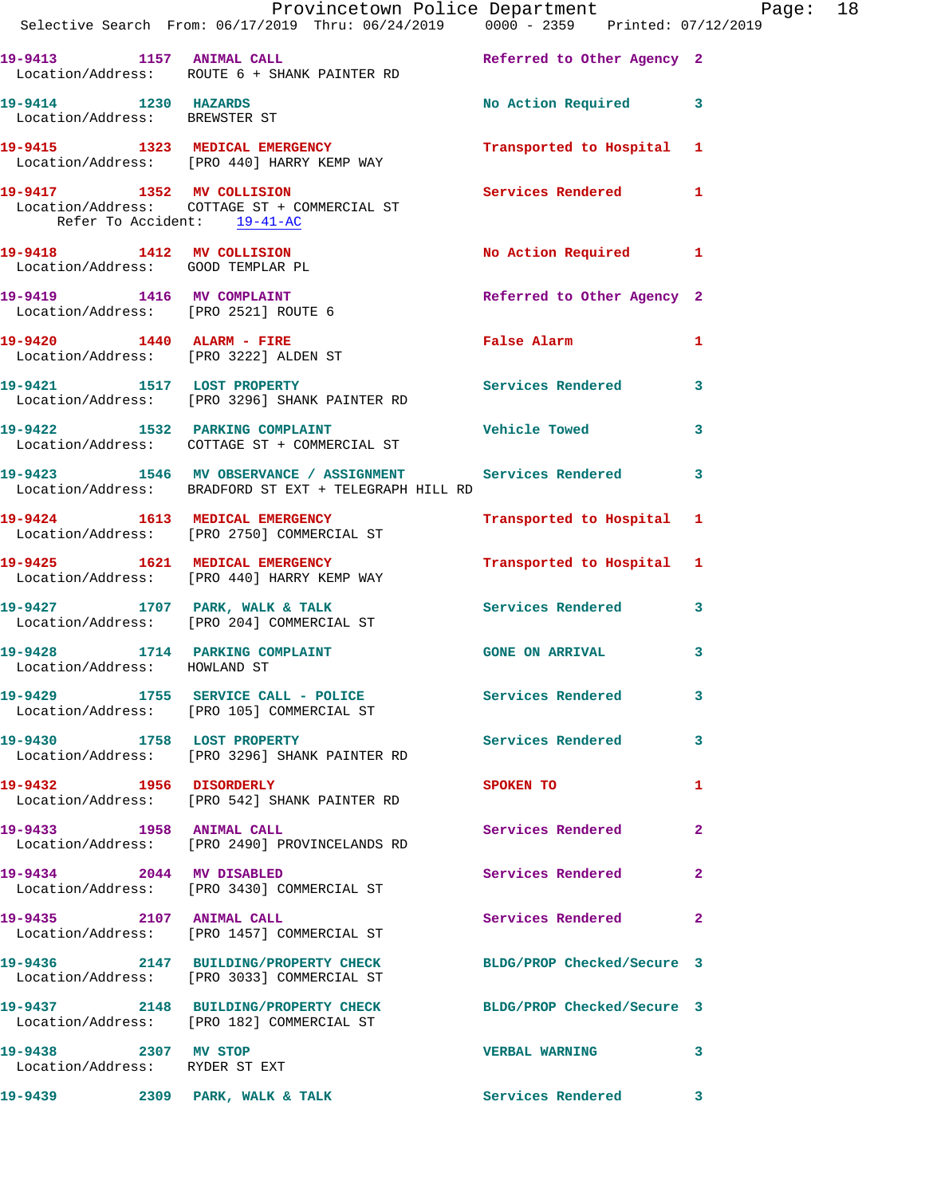|                                                        | Provincetown Police Department Page: 18<br>Selective Search From: 06/17/2019 Thru: 06/24/2019   0000 - 2359   Printed: 07/12/2019 |                            |                         |
|--------------------------------------------------------|-----------------------------------------------------------------------------------------------------------------------------------|----------------------------|-------------------------|
|                                                        | 19-9413 1157 ANIMAL CALL <b>19-9413</b> Referred to Other Agency 2<br>Location/Address: ROUTE 6 + SHANK PAINTER RD                |                            |                         |
| 19-9414 1230 HAZARDS<br>Location/Address: BREWSTER ST  |                                                                                                                                   | No Action Required 3       |                         |
|                                                        | 19-9415 1323 MEDICAL EMERGENCY 1 Transported to Hospital 1<br>Location/Address: [PRO 440] HARRY KEMP WAY                          |                            |                         |
| Refer To Accident: 19-41-AC                            | 19-9417 1352 MV COLLISION<br>Location/Address: COTTAGE ST + COMMERCIAL ST                                                         | Services Rendered 1        |                         |
|                                                        | 19-9418 1412 MV COLLISION<br>Location/Address: GOOD TEMPLAR PL                                                                    | No Action Required 1       |                         |
| Location/Address: [PRO 2521] ROUTE 6                   | 19-9419 1416 MV COMPLAINT                                                                                                         | Referred to Other Agency 2 |                         |
|                                                        | 19-9420 1440 ALARM - FIRE<br>Location/Address: [PRO 3222] ALDEN ST                                                                | False Alarm 1              |                         |
|                                                        | 19-9421 1517 LOST PROPERTY<br>Location/Address: [PRO 3296] SHANK PAINTER RD                                                       | Services Rendered          | 3                       |
|                                                        | 19-9422 1532 PARKING COMPLAINT 19-9422 Vehicle Towed 3<br>Location/Address: COTTAGE ST + COMMERCIAL ST                            |                            |                         |
|                                                        | 19-9423 1546 MV OBSERVANCE / ASSIGNMENT Services Rendered<br>Location/Address: BRADFORD ST EXT + TELEGRAPH HILL RD                |                            | 3                       |
|                                                        | 19-9424 1613 MEDICAL EMERGENCY<br>Location/Address: [PRO 2750] COMMERCIAL ST                                                      | Transported to Hospital 1  |                         |
|                                                        | 19-9425 1621 MEDICAL EMERGENCY Transported to Hospital 1<br>Location/Address: [PRO 440] HARRY KEMP WAY                            |                            |                         |
|                                                        | 19-9427 1707 PARK, WALK & TALK 1999 Services Rendered<br>Location/Address: [PRO 204] COMMERCIAL ST                                |                            | 3                       |
| Location/Address: HOWLAND ST                           | 19-9428 1714 PARKING COMPLAINT CONGRAINS GONE ON ARRIVAL                                                                          |                            | 3                       |
|                                                        | 19-9429 1755 SERVICE CALL - POLICE<br>Location/Address: [PRO 105] COMMERCIAL ST                                                   | Services Rendered 3        |                         |
|                                                        | 19-9430 1758 LOST PROPERTY<br>Location/Address: [PRO 3296] SHANK PAINTER RD                                                       | <b>Services Rendered</b>   | $\overline{\mathbf{3}}$ |
| 19-9432 1956 DISORDERLY                                | Location/Address: [PRO 542] SHANK PAINTER RD                                                                                      | <b>SPOKEN TO</b>           | 1                       |
|                                                        | 19-9433 1958 ANIMAL CALL<br>Location/Address: [PRO 2490] PROVINCELANDS RD                                                         | Services Rendered          | $\mathbf{2}$            |
| 19-9434 2044 MV DISABLED                               | Location/Address: [PRO 3430] COMMERCIAL ST                                                                                        | Services Rendered          | $\mathbf{2}$            |
|                                                        | 19-9435 2107 ANIMAL CALL<br>Location/Address: [PRO 1457] COMMERCIAL ST                                                            | Services Rendered          | 2                       |
|                                                        | 19-9436 2147 BUILDING/PROPERTY CHECK BLDG/PROP Checked/Secure 3<br>Location/Address: [PRO 3033] COMMERCIAL ST                     |                            |                         |
|                                                        | 19-9437 2148 BUILDING/PROPERTY CHECK BLDG/PROP Checked/Secure 3<br>Location/Address: [PRO 182] COMMERCIAL ST                      |                            |                         |
| 19-9438 2307 MV STOP<br>Location/Address: RYDER ST EXT |                                                                                                                                   | <b>VERBAL WARNING</b>      | 3                       |
|                                                        | 19-9439 2309 PARK, WALK & TALK                                                                                                    | <b>Services Rendered</b>   | $\mathbf{3}$            |